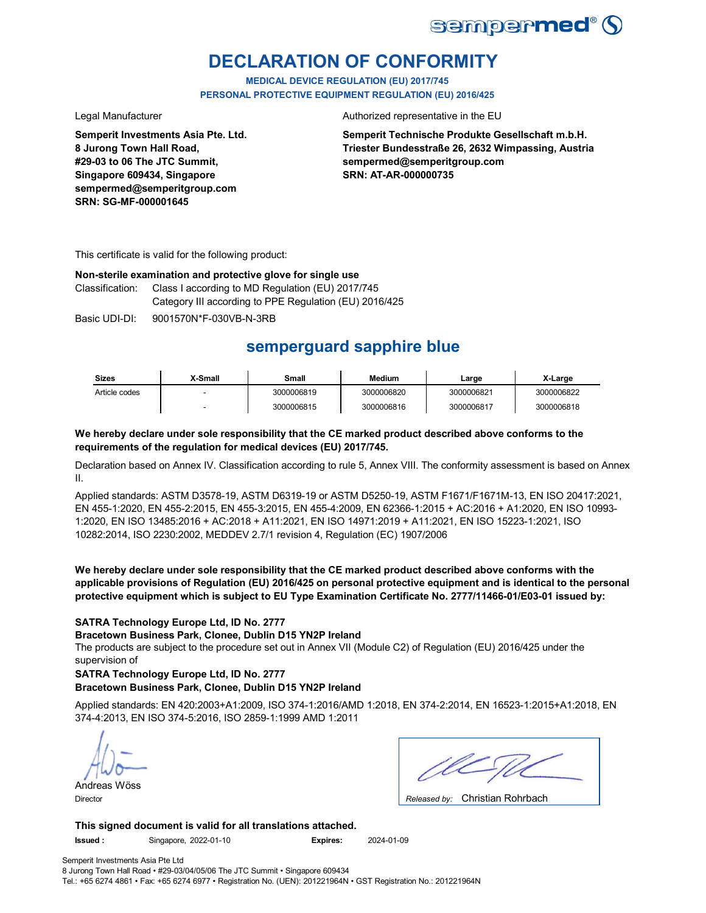

# **DECLARATION OF CONFORMITY**

**MEDICAL DEVICE REGULATION (EU) 2017/745 PERSONAL PROTECTIVE EQUIPMENT REGULATION (EU) 2016/425**

**Semperit Investments Asia Pte. Ltd. 8 Jurong Town Hall Road, #29-03 to 06 The JTC Summit, Singapore 609434, Singapore sempermed@semperitgroup.com SRN: SG-MF-000001645**

#### Legal Manufacturer **Authorized representative in the EU**

**Semperit Technische Produkte Gesellschaft m.b.H. Triester Bundesstraße 26, 2632 Wimpassing, Austria sempermed@semperitgroup.com SRN: AT-AR-000000735**

This certificate is valid for the following product:

### **Non-sterile examination and protective glove for single use**

Classification: Class I according to MD Regulation (EU) 2017/745 Category III according to PPE Regulation (EU) 2016/425

Basic UDI-DI: 9001570N\*F-030VB-N-3RB

# **semperguard sapphire blue**

| <b>Sizes</b>  | X-Small | Small      | <b>Medium</b> | Large      | X-Large    |
|---------------|---------|------------|---------------|------------|------------|
| Article codes |         | 3000006819 | 3000006820    | 3000006821 | 3000006822 |
|               |         | 3000006815 | 3000006816    | 3000006817 | 3000006818 |

### **We hereby declare under sole responsibility that the CE marked product described above conforms to the requirements of the regulation for medical devices (EU) 2017/745.**

Declaration based on Annex IV. Classification according to rule 5, Annex VIII. The conformity assessment is based on Annex II.

Applied standards: ASTM D3578-19, ASTM D6319-19 or ASTM D5250-19, ASTM F1671/F1671M-13, EN ISO 20417:2021, EN 455-1:2020, EN 455-2:2015, EN 455-3:2015, EN 455-4:2009, EN 62366-1:2015 + AC:2016 + A1:2020, EN ISO 10993- 1:2020, EN ISO 13485:2016 + AC:2018 + A11:2021, EN ISO 14971:2019 + A11:2021, EN ISO 15223-1:2021, ISO 10282:2014, ISO 2230:2002, MEDDEV 2.7/1 revision 4, Regulation (EC) 1907/2006

**We hereby declare under sole responsibility that the CE marked product described above conforms with the applicable provisions of Regulation (EU) 2016/425 on personal protective equipment and is identical to the personal protective equipment which is subject to EU Type Examination Certificate No. 2777/11466-01/E03-01 issued by:**

### **SATRA Technology Europe Ltd, ID No. 2777**

**Bracetown Business Park, Clonee, Dublin D15 YN2P Ireland**

The products are subject to the procedure set out in Annex VII (Module C2) of Regulation (EU) 2016/425 under the supervision of

### **SATRA Technology Europe Ltd, ID No. 2777**

### **Bracetown Business Park, Clonee, Dublin D15 YN2P Ireland**

Applied standards: EN 420:2003+A1:2009, ISO 374-1:2016/AMD 1:2018, EN 374-2:2014, EN 16523-1:2015+A1:2018, EN 374-4:2013, EN ISO 374-5:2016, ISO 2859-1:1999 AMD 1:2011

Andreas Wöss

| $\sim$ $\sim$ $\sim$ $\sim$ $\sim$ $\sim$ $\sim$<br>. . |
|---------------------------------------------------------|

Christian Rohrbach Director *Released by:* 

**This signed document is valid for all translations attached.**

**Issued :** Singapore, 2022-01-10 **Expires:** 2024-01-09

Semperit Investments Asia Pte Ltd 8 Jurong Town Hall Road • #29-03/04/05/06 The JTC Summit • Singapore 609434 Tel.: +65 6274 4861 • Fax: +65 6274 6977 • Registration No. (UEN): 201221964N • GST Registration No.: 201221964N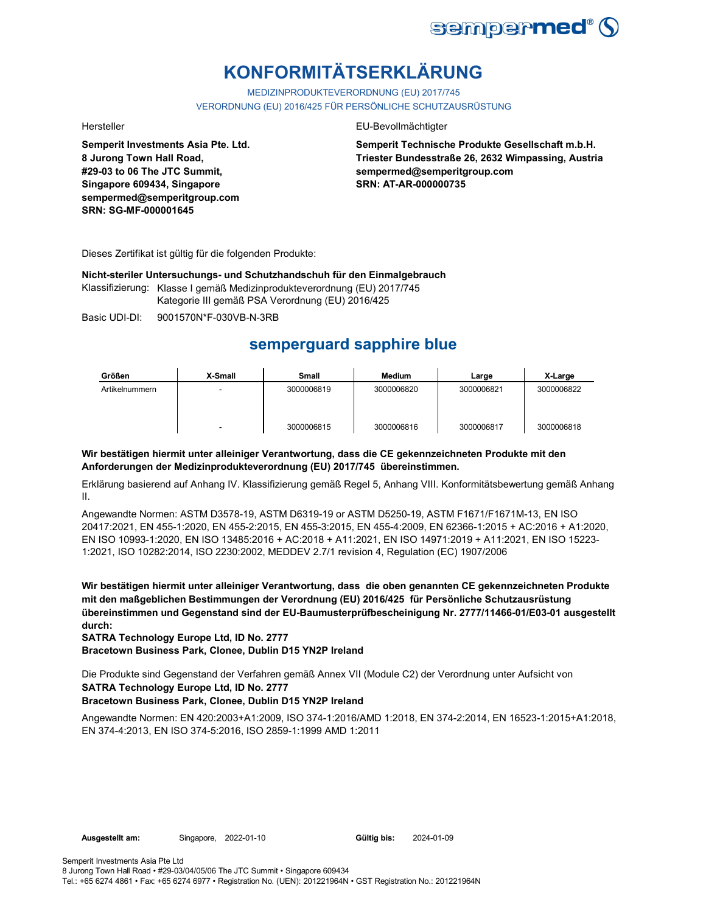

# **KONFORMITÄTSERKLÄRUNG**

MEDIZINPRODUKTEVERORDNUNG (EU) 2017/745 VERORDNUNG (EU) 2016/425 FÜR PERSÖNLICHE SCHUTZAUSRÜSTUNG

**Semperit Investments Asia Pte. Ltd. 8 Jurong Town Hall Road, #29-03 to 06 The JTC Summit, Singapore 609434, Singapore sempermed@semperitgroup.com SRN: SG-MF-000001645**

#### Hersteller EU-Bevollmächtigter

**Semperit Technische Produkte Gesellschaft m.b.H. Triester Bundesstraße 26, 2632 Wimpassing, Austria sempermed@semperitgroup.com SRN: AT-AR-000000735**

Dieses Zertifikat ist gültig für die folgenden Produkte:

**Nicht-steriler Untersuchungs- und Schutzhandschuh für den Einmalgebrauch**

Klassifizierung: Klasse I gemäß Medizinprodukteverordnung (EU) 2017/745 Kategorie III gemäß PSA Verordnung (EU) 2016/425

Basic UDI-DI: 9001570N\*F-030VB-N-3RB

# **semperguard sapphire blue**

| Größen         | X-Small | Small      | <b>Medium</b> | Large      | X-Large    |
|----------------|---------|------------|---------------|------------|------------|
| Artikelnummern |         | 3000006819 | 3000006820    | 3000006821 | 3000006822 |
|                |         |            |               |            |            |
|                |         | 3000006815 | 3000006816    | 3000006817 | 3000006818 |

### **Wir bestätigen hiermit unter alleiniger Verantwortung, dass die CE gekennzeichneten Produkte mit den Anforderungen der Medizinprodukteverordnung (EU) 2017/745 übereinstimmen.**

Erklärung basierend auf Anhang IV. Klassifizierung gemäß Regel 5, Anhang VIII. Konformitätsbewertung gemäß Anhang II.

Angewandte Normen: ASTM D3578-19, ASTM D6319-19 or ASTM D5250-19, ASTM F1671/F1671M-13, EN ISO 20417:2021, EN 455-1:2020, EN 455-2:2015, EN 455-3:2015, EN 455-4:2009, EN 62366-1:2015 + AC:2016 + A1:2020, EN ISO 10993-1:2020, EN ISO 13485:2016 + AC:2018 + A11:2021, EN ISO 14971:2019 + A11:2021, EN ISO 15223- 1:2021, ISO 10282:2014, ISO 2230:2002, MEDDEV 2.7/1 revision 4, Regulation (EC) 1907/2006

**Wir bestätigen hiermit unter alleiniger Verantwortung, dass die oben genannten CE gekennzeichneten Produkte mit den maßgeblichen Bestimmungen der Verordnung (EU) 2016/425 für Persönliche Schutzausrüstung übereinstimmen und Gegenstand sind der EU-Baumusterprüfbescheinigung Nr. 2777/11466-01/E03-01 ausgestellt durch:**

**SATRA Technology Europe Ltd, ID No. 2777**

**Bracetown Business Park, Clonee, Dublin D15 YN2P Ireland**

**SATRA Technology Europe Ltd, ID No. 2777** Die Produkte sind Gegenstand der Verfahren gemäß Annex VII (Module C2) der Verordnung unter Aufsicht von

### **Bracetown Business Park, Clonee, Dublin D15 YN2P Ireland**

Angewandte Normen: EN 420:2003+A1:2009, ISO 374-1:2016/AMD 1:2018, EN 374-2:2014, EN 16523-1:2015+A1:2018, EN 374-4:2013, EN ISO 374-5:2016, ISO 2859-1:1999 AMD 1:2011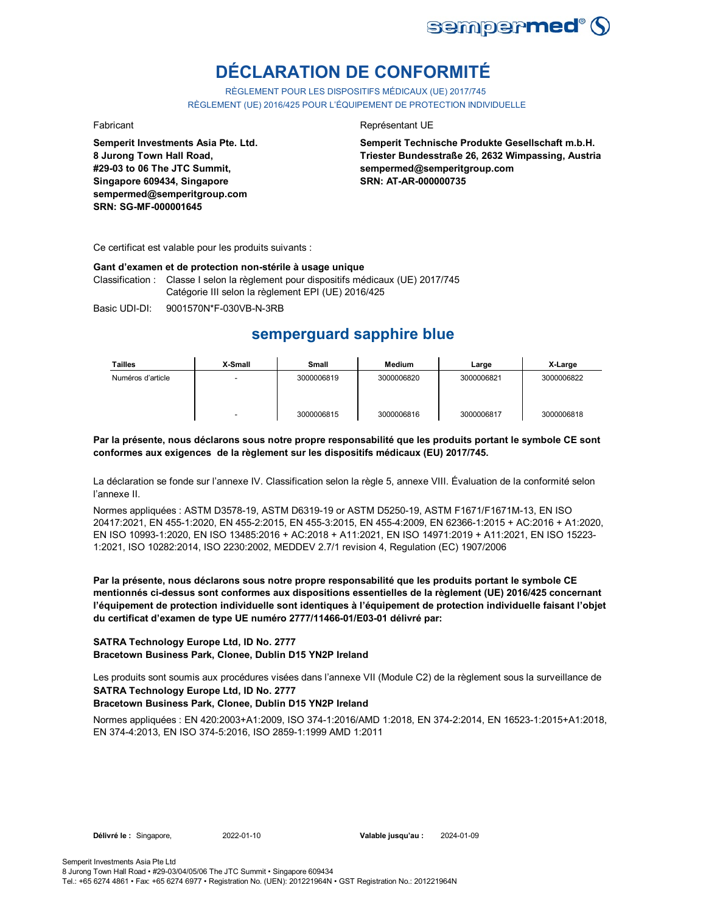

# **DÉCLARATION DE CONFORMITÉ**

RÈGLEMENT POUR LES DISPOSITIFS MÉDICAUX (UE) 2017/745 RÈGLEMENT (UE) 2016/425 POUR L'ÉQUIPEMENT DE PROTECTION INDIVIDUELLE

**Semperit Investments Asia Pte. Ltd. 8 Jurong Town Hall Road, #29-03 to 06 The JTC Summit, Singapore 609434, Singapore sempermed@semperitgroup.com SRN: SG-MF-000001645**

#### Fabricant **Representant UE**

**Semperit Technische Produkte Gesellschaft m.b.H. Triester Bundesstraße 26, 2632 Wimpassing, Austria sempermed@semperitgroup.com SRN: AT-AR-000000735**

Ce certificat est valable pour les produits suivants :

#### **Gant d'examen et de protection non-stérile à usage unique**

Classification : Classe I selon la règlement pour dispositifs médicaux (UE) 2017/745 Catégorie III selon la règlement EPI (UE) 2016/425

Basic UDI-DI: 9001570N\*F-030VB-N-3RB

## **semperguard sapphire blue**

| <b>Tailles</b>    | X-Small | Small      | <b>Medium</b> | Large      | X-Large    |
|-------------------|---------|------------|---------------|------------|------------|
| Numéros d'article |         | 3000006819 | 3000006820    | 3000006821 | 3000006822 |
|                   |         | 3000006815 | 3000006816    | 3000006817 | 3000006818 |

**Par la présente, nous déclarons sous notre propre responsabilité que les produits portant le symbole CE sont conformes aux exigences de la règlement sur les dispositifs médicaux (EU) 2017/745.**

La déclaration se fonde sur l'annexe IV. Classification selon la règle 5, annexe VIII. Évaluation de la conformité selon l'annexe II.

Normes appliquées : ASTM D3578-19, ASTM D6319-19 or ASTM D5250-19, ASTM F1671/F1671M-13, EN ISO 20417:2021, EN 455-1:2020, EN 455-2:2015, EN 455-3:2015, EN 455-4:2009, EN 62366-1:2015 + AC:2016 + A1:2020, EN ISO 10993-1:2020, EN ISO 13485:2016 + AC:2018 + A11:2021, EN ISO 14971:2019 + A11:2021, EN ISO 15223- 1:2021, ISO 10282:2014, ISO 2230:2002, MEDDEV 2.7/1 revision 4, Regulation (EC) 1907/2006

**Par la présente, nous déclarons sous notre propre responsabilité que les produits portant le symbole CE mentionnés ci-dessus sont conformes aux dispositions essentielles de la règlement (UE) 2016/425 concernant l'équipement de protection individuelle sont identiques à l'équipement de protection individuelle faisant l'objet du certificat d'examen de type UE numéro 2777/11466-01/E03-01 délivré par:**

#### **SATRA Technology Europe Ltd, ID No. 2777 Bracetown Business Park, Clonee, Dublin D15 YN2P Ireland**

**SATRA Technology Europe Ltd, ID No. 2777** Les produits sont soumis aux procédures visées dans l'annexe VII (Module C2) de la règlement sous la surveillance de

### **Bracetown Business Park, Clonee, Dublin D15 YN2P Ireland**

Normes appliquées : EN 420:2003+A1:2009, ISO 374-1:2016/AMD 1:2018, EN 374-2:2014, EN 16523-1:2015+A1:2018, EN 374-4:2013, EN ISO 374-5:2016, ISO 2859-1:1999 AMD 1:2011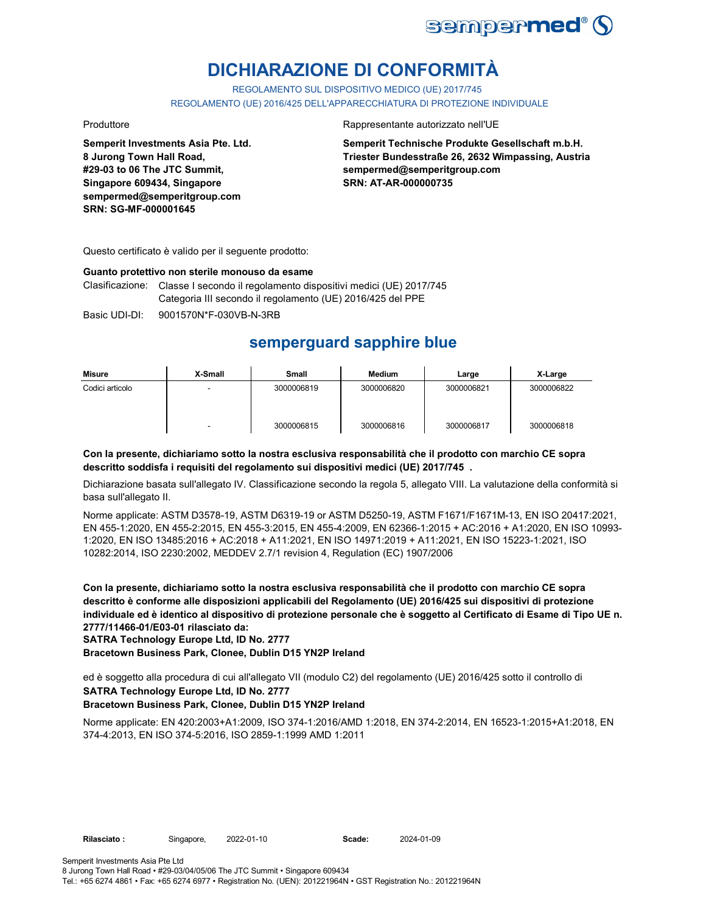

# **DICHIARAZIONE DI CONFORMITÀ**

REGOLAMENTO SUL DISPOSITIVO MEDICO (UE) 2017/745

REGOLAMENTO (UE) 2016/425 DELL'APPARECCHIATURA DI PROTEZIONE INDIVIDUALE

**Semperit Investments Asia Pte. Ltd. 8 Jurong Town Hall Road, #29-03 to 06 The JTC Summit, Singapore 609434, Singapore sempermed@semperitgroup.com SRN: SG-MF-000001645**

#### Produttore Rappresentante autorizzato nell'UE

**Semperit Technische Produkte Gesellschaft m.b.H. Triester Bundesstraße 26, 2632 Wimpassing, Austria sempermed@semperitgroup.com SRN: AT-AR-000000735**

Questo certificato è valido per il seguente prodotto:

#### **Guanto protettivo non sterile monouso da esame**

Clasificazione: Classe I secondo il regolamento dispositivi medici (UE) 2017/745 Categoria III secondo il regolamento (UE) 2016/425 del PPE

Basic UDI-DI: 9001570N\*F-030VB-N-3RB

## **semperguard sapphire blue**

| Misure          | X-Small | <b>Small</b> | Medium     | Large      | X-Large    |
|-----------------|---------|--------------|------------|------------|------------|
| Codici articolo |         | 3000006819   | 3000006820 | 3000006821 | 3000006822 |
|                 | -       | 3000006815   | 3000006816 | 3000006817 | 3000006818 |

### **Con la presente, dichiariamo sotto la nostra esclusiva responsabilità che il prodotto con marchio CE sopra descritto soddisfa i requisiti del regolamento sui dispositivi medici (UE) 2017/745 .**

Dichiarazione basata sull'allegato IV. Classificazione secondo la regola 5, allegato VIII. La valutazione della conformità si basa sull'allegato II.

Norme applicate: ASTM D3578-19, ASTM D6319-19 or ASTM D5250-19, ASTM F1671/F1671M-13, EN ISO 20417:2021, EN 455-1:2020, EN 455-2:2015, EN 455-3:2015, EN 455-4:2009, EN 62366-1:2015 + AC:2016 + A1:2020, EN ISO 10993- 1:2020, EN ISO 13485:2016 + AC:2018 + A11:2021, EN ISO 14971:2019 + A11:2021, EN ISO 15223-1:2021, ISO 10282:2014, ISO 2230:2002, MEDDEV 2.7/1 revision 4, Regulation (EC) 1907/2006

**Con la presente, dichiariamo sotto la nostra esclusiva responsabilità che il prodotto con marchio CE sopra descritto è conforme alle disposizioni applicabili del Regolamento (UE) 2016/425 sui dispositivi di protezione individuale ed è identico al dispositivo di protezione personale che è soggetto al Certificato di Esame di Tipo UE n. 2777/11466-01/E03-01 rilasciato da:**

**SATRA Technology Europe Ltd, ID No. 2777**

**Bracetown Business Park, Clonee, Dublin D15 YN2P Ireland**

**SATRA Technology Europe Ltd, ID No. 2777** ed è soggetto alla procedura di cui all'allegato VII (modulo C2) del regolamento (UE) 2016/425 sotto il controllo di

### **Bracetown Business Park, Clonee, Dublin D15 YN2P Ireland**

Norme applicate: EN 420:2003+A1:2009, ISO 374-1:2016/AMD 1:2018, EN 374-2:2014, EN 16523-1:2015+A1:2018, EN 374-4:2013, EN ISO 374-5:2016, ISO 2859-1:1999 AMD 1:2011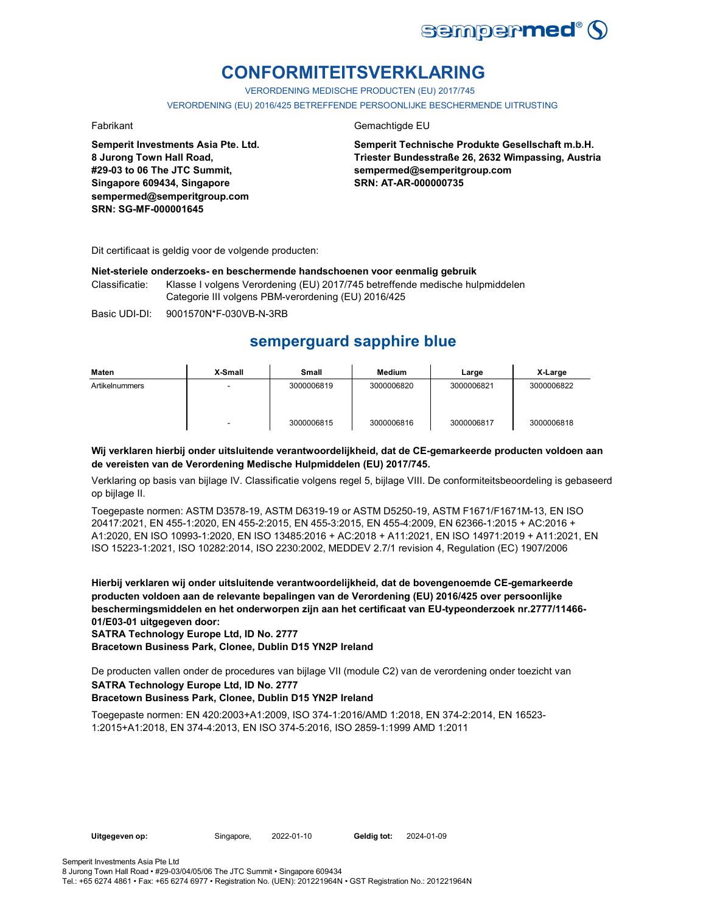

# **CONFORMITEITSVERKLARING**

VERORDENING MEDISCHE PRODUCTEN (EU) 2017/745

VERORDENING (EU) 2016/425 BETREFFENDE PERSOONLIJKE BESCHERMENDE UITRUSTING

**Semperit Investments Asia Pte. Ltd. 8 Jurong Town Hall Road, #29-03 to 06 The JTC Summit, Singapore 609434, Singapore sempermed@semperitgroup.com SRN: SG-MF-000001645**

### Fabrikant Gemachtigde EU

**Semperit Technische Produkte Gesellschaft m.b.H. Triester Bundesstraße 26, 2632 Wimpassing, Austria sempermed@semperitgroup.com SRN: AT-AR-000000735**

Dit certificaat is geldig voor de volgende producten:

#### **Niet-steriele onderzoeks- en beschermende handschoenen voor eenmalig gebruik**

Classificatie: Klasse I volgens Verordening (EU) 2017/745 betreffende medische hulpmiddelen Categorie III volgens PBM-verordening (EU) 2016/425

Basic UDI-DI: 9001570N\*F-030VB-N-3RB

## **semperguard sapphire blue**

| Maten          | X-Small | Small      | Medium     | Large      | X-Large    |
|----------------|---------|------------|------------|------------|------------|
| Artikelnummers |         | 3000006819 | 3000006820 | 3000006821 | 3000006822 |
|                | -       | 3000006815 | 3000006816 | 3000006817 | 3000006818 |

#### **Wij verklaren hierbij onder uitsluitende verantwoordelijkheid, dat de CE-gemarkeerde producten voldoen aan de vereisten van de Verordening Medische Hulpmiddelen (EU) 2017/745.**

Verklaring op basis van bijlage IV. Classificatie volgens regel 5, bijlage VIII. De conformiteitsbeoordeling is gebaseerd op bijlage II.

Toegepaste normen: ASTM D3578-19, ASTM D6319-19 or ASTM D5250-19, ASTM F1671/F1671M-13, EN ISO 20417:2021, EN 455-1:2020, EN 455-2:2015, EN 455-3:2015, EN 455-4:2009, EN 62366-1:2015 + AC:2016 + A1:2020, EN ISO 10993-1:2020, EN ISO 13485:2016 + AC:2018 + A11:2021, EN ISO 14971:2019 + A11:2021, EN ISO 15223-1:2021, ISO 10282:2014, ISO 2230:2002, MEDDEV 2.7/1 revision 4, Regulation (EC) 1907/2006

**Hierbij verklaren wij onder uitsluitende verantwoordelijkheid, dat de bovengenoemde CE-gemarkeerde producten voldoen aan de relevante bepalingen van de Verordening (EU) 2016/425 over persoonlijke beschermingsmiddelen en het onderworpen zijn aan het certificaat van EU-typeonderzoek nr.2777/11466- 01/E03-01 uitgegeven door:**

**SATRA Technology Europe Ltd, ID No. 2777**

**Bracetown Business Park, Clonee, Dublin D15 YN2P Ireland**

**SATRA Technology Europe Ltd, ID No. 2777** De producten vallen onder de procedures van bijlage VII (module C2) van de verordening onder toezicht van

### **Bracetown Business Park, Clonee, Dublin D15 YN2P Ireland**

Toegepaste normen: EN 420:2003+A1:2009, ISO 374-1:2016/AMD 1:2018, EN 374-2:2014, EN 16523- 1:2015+A1:2018, EN 374-4:2013, EN ISO 374-5:2016, ISO 2859-1:1999 AMD 1:2011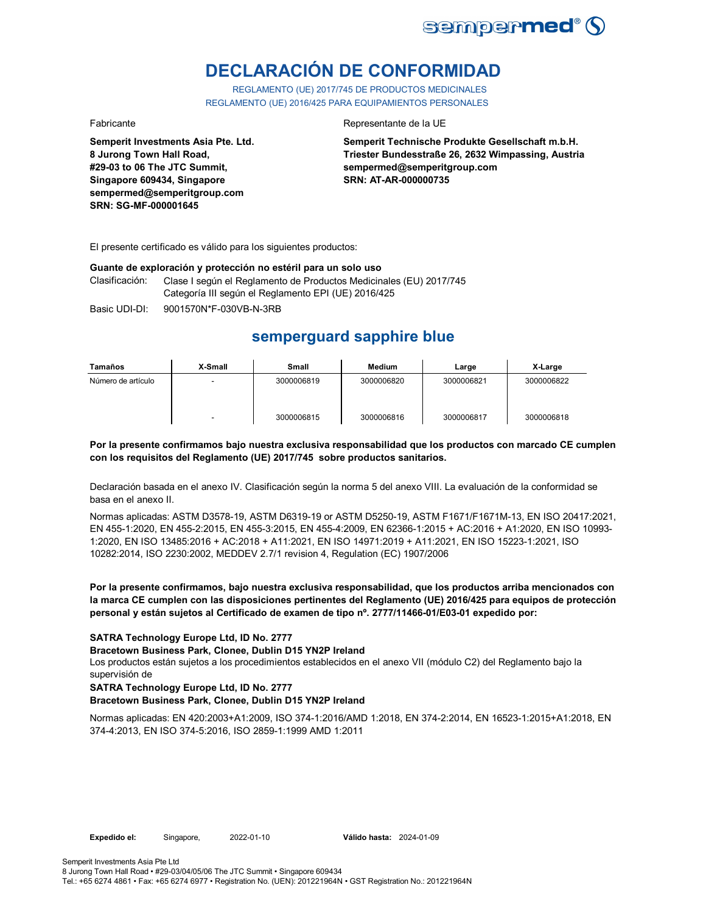

# **DECLARACIÓN DE CONFORMIDAD**

REGLAMENTO (UE) 2017/745 DE PRODUCTOS MEDICINALES REGLAMENTO (UE) 2016/425 PARA EQUIPAMIENTOS PERSONALES

**Semperit Investments Asia Pte. Ltd. 8 Jurong Town Hall Road, #29-03 to 06 The JTC Summit, Singapore 609434, Singapore sempermed@semperitgroup.com SRN: SG-MF-000001645**

#### Fabricante Representante de la UE

**Semperit Technische Produkte Gesellschaft m.b.H. Triester Bundesstraße 26, 2632 Wimpassing, Austria sempermed@semperitgroup.com SRN: AT-AR-000000735**

El presente certificado es válido para los siguientes productos:

#### **Guante de exploración y protección no estéril para un solo uso**

Clasificación: Clase I según el Reglamento de Productos Medicinales (EU) 2017/745 Categoría III según el Reglamento EPI (UE) 2016/425

Basic UDI-DI: 9001570N\*F-030VB-N-3RB

# **semperguard sapphire blue**

| Tamaños            | X-Small                  | Small      | Medium     | Large      | X-Large    |
|--------------------|--------------------------|------------|------------|------------|------------|
| Número de artículo | $\overline{\phantom{a}}$ | 3000006819 | 3000006820 | 3000006821 | 3000006822 |
|                    | $\overline{\phantom{0}}$ | 3000006815 | 3000006816 | 3000006817 | 3000006818 |

#### **Por la presente confirmamos bajo nuestra exclusiva responsabilidad que los productos con marcado CE cumplen con los requisitos del Reglamento (UE) 2017/745 sobre productos sanitarios.**

Declaración basada en el anexo IV. Clasificación según la norma 5 del anexo VIII. La evaluación de la conformidad se basa en el anexo II.

Normas aplicadas: ASTM D3578-19, ASTM D6319-19 or ASTM D5250-19, ASTM F1671/F1671M-13, EN ISO 20417:2021, EN 455-1:2020, EN 455-2:2015, EN 455-3:2015, EN 455-4:2009, EN 62366-1:2015 + AC:2016 + A1:2020, EN ISO 10993- 1:2020, EN ISO 13485:2016 + AC:2018 + A11:2021, EN ISO 14971:2019 + A11:2021, EN ISO 15223-1:2021, ISO 10282:2014, ISO 2230:2002, MEDDEV 2.7/1 revision 4, Regulation (EC) 1907/2006

#### **Por la presente confirmamos, bajo nuestra exclusiva responsabilidad, que los productos arriba mencionados con la marca CE cumplen con las disposiciones pertinentes del Reglamento (UE) 2016/425 para equipos de protección personal y están sujetos al Certificado de examen de tipo nº. 2777/11466-01/E03-01 expedido por:**

### **SATRA Technology Europe Ltd, ID No. 2777**

#### **Bracetown Business Park, Clonee, Dublin D15 YN2P Ireland**

Los productos están sujetos a los procedimientos establecidos en el anexo VII (módulo C2) del Reglamento bajo la supervisión de

#### **SATRA Technology Europe Ltd, ID No. 2777**

### **Bracetown Business Park, Clonee, Dublin D15 YN2P Ireland**

Normas aplicadas: EN 420:2003+A1:2009, ISO 374-1:2016/AMD 1:2018, EN 374-2:2014, EN 16523-1:2015+A1:2018, EN 374-4:2013, EN ISO 374-5:2016, ISO 2859-1:1999 AMD 1:2011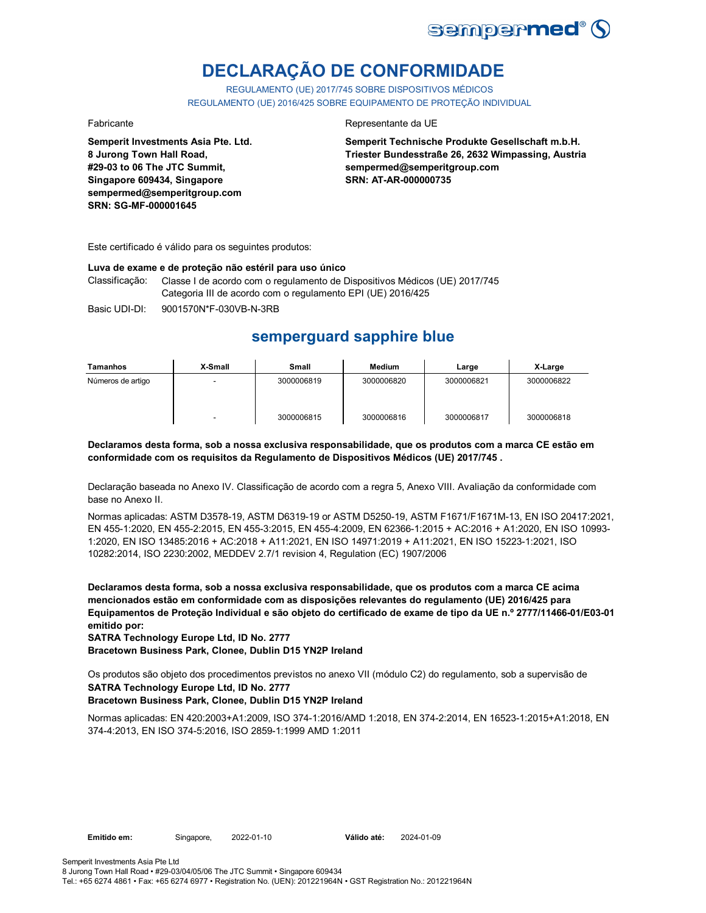

# **DECLARAÇÃO DE CONFORMIDADE**

REGULAMENTO (UE) 2017/745 SOBRE DISPOSITIVOS MÉDICOS REGULAMENTO (UE) 2016/425 SOBRE EQUIPAMENTO DE PROTEÇÃO INDIVIDUAL

**Semperit Investments Asia Pte. Ltd. 8 Jurong Town Hall Road, #29-03 to 06 The JTC Summit, Singapore 609434, Singapore sempermed@semperitgroup.com SRN: SG-MF-000001645**

#### Fabricante Representante da UE

**Semperit Technische Produkte Gesellschaft m.b.H. Triester Bundesstraße 26, 2632 Wimpassing, Austria sempermed@semperitgroup.com SRN: AT-AR-000000735**

Este certificado é válido para os seguintes produtos:

#### **Luva de exame e de proteção não estéril para uso único**

Classificação: Classe I de acordo com o regulamento de Dispositivos Médicos (UE) 2017/745 Categoria III de acordo com o regulamento EPI (UE) 2016/425

Basic UDI-DI: 9001570N\*F-030VB-N-3RB

# **semperguard sapphire blue**

| Tamanhos          | X-Small | <b>Small</b> | Medium     | Large      | X-Large    |
|-------------------|---------|--------------|------------|------------|------------|
| Números de artigo |         | 3000006819   | 3000006820 | 3000006821 | 3000006822 |
|                   | -       | 3000006815   | 3000006816 | 3000006817 | 3000006818 |

**Declaramos desta forma, sob a nossa exclusiva responsabilidade, que os produtos com a marca CE estão em conformidade com os requisitos da Regulamento de Dispositivos Médicos (UE) 2017/745 .**

Declaração baseada no Anexo IV. Classificação de acordo com a regra 5, Anexo VIII. Avaliação da conformidade com base no Anexo II.

Normas aplicadas: ASTM D3578-19, ASTM D6319-19 or ASTM D5250-19, ASTM F1671/F1671M-13, EN ISO 20417:2021, EN 455-1:2020, EN 455-2:2015, EN 455-3:2015, EN 455-4:2009, EN 62366-1:2015 + AC:2016 + A1:2020, EN ISO 10993- 1:2020, EN ISO 13485:2016 + AC:2018 + A11:2021, EN ISO 14971:2019 + A11:2021, EN ISO 15223-1:2021, ISO 10282:2014, ISO 2230:2002, MEDDEV 2.7/1 revision 4, Regulation (EC) 1907/2006

**Declaramos desta forma, sob a nossa exclusiva responsabilidade, que os produtos com a marca CE acima mencionados estão em conformidade com as disposições relevantes do regulamento (UE) 2016/425 para Equipamentos de Proteção Individual e são objeto do certificado de exame de tipo da UE n.º 2777/11466-01/E03-01 emitido por:**

**SATRA Technology Europe Ltd, ID No. 2777**

**Bracetown Business Park, Clonee, Dublin D15 YN2P Ireland**

**SATRA Technology Europe Ltd, ID No. 2777** Os produtos são objeto dos procedimentos previstos no anexo VII (módulo C2) do regulamento, sob a supervisão de

### **Bracetown Business Park, Clonee, Dublin D15 YN2P Ireland**

Normas aplicadas: EN 420:2003+A1:2009, ISO 374-1:2016/AMD 1:2018, EN 374-2:2014, EN 16523-1:2015+A1:2018, EN 374-4:2013, EN ISO 374-5:2016, ISO 2859-1:1999 AMD 1:2011

**Emitido em:** Singapore, 2022-01-10 **Válido até:** 2024-01-09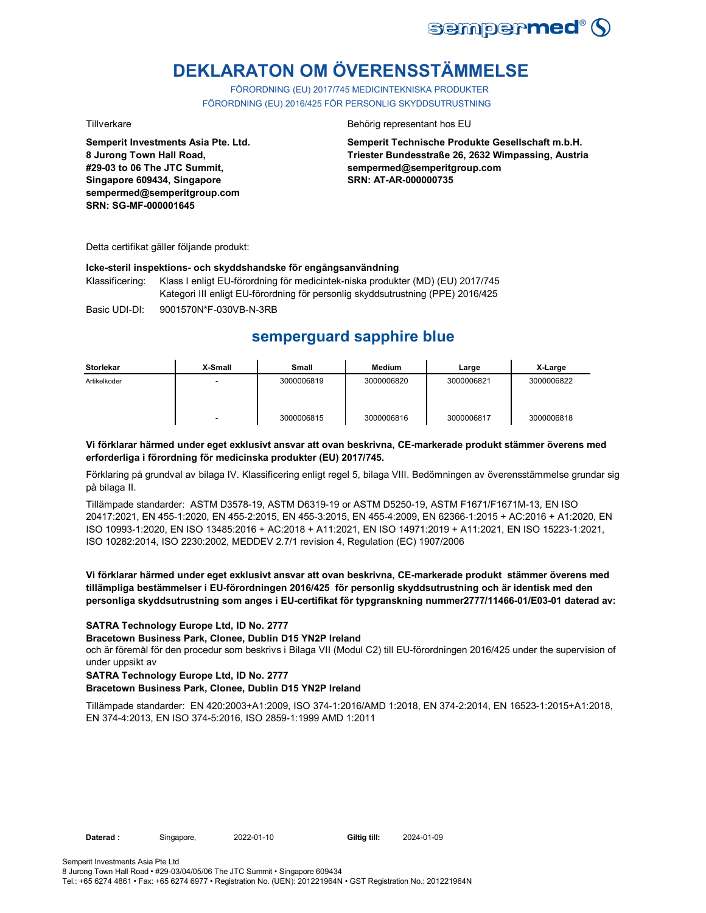

# **DEKLARATON OM ÖVERENSSTÄMMELSE**

FÖRORDNING (EU) 2017/745 MEDICINTEKNISKA PRODUKTER FÖRORDNING (EU) 2016/425 FÖR PERSONLIG SKYDDSUTRUSTNING

**Semperit Investments Asia Pte. Ltd. 8 Jurong Town Hall Road, #29-03 to 06 The JTC Summit, Singapore 609434, Singapore sempermed@semperitgroup.com SRN: SG-MF-000001645**

#### Tillverkare Behörig representant hos EU

**Semperit Technische Produkte Gesellschaft m.b.H. Triester Bundesstraße 26, 2632 Wimpassing, Austria sempermed@semperitgroup.com SRN: AT-AR-000000735**

Detta certifikat gäller följande produkt:

#### **Icke-steril inspektions- och skyddshandske för engångsanvändning**

Klassificering: Klass I enligt EU-förordning för medicintek-niska produkter (MD) (EU) 2017/745 Kategori III enligt EU-förordning för personlig skyddsutrustning (PPE) 2016/425

Basic UDI-DI: 9001570N\*F-030VB-N-3RB 9001570N\*F-030VB-N-3R

# **semperguard sapphire blue**

| Storlekar    | X-Small | <b>Small</b> | Medium     | Large      | X-Large    |
|--------------|---------|--------------|------------|------------|------------|
| Artikelkoder |         | 3000006819   | 3000006820 | 3000006821 | 3000006822 |
|              |         | 3000006815   | 3000006816 | 3000006817 | 3000006818 |

#### **Vi förklarar härmed under eget exklusivt ansvar att ovan beskrivna, CE-markerade produkt stämmer överens med erforderliga i förordning för medicinska produkter (EU) 2017/745.**

Förklaring på grundval av bilaga IV. Klassificering enligt regel 5, bilaga VIII. Bedömningen av överensstämmelse grundar sig på bilaga II.

Tillämpade standarder: ASTM D3578-19, ASTM D6319-19 or ASTM D5250-19, ASTM F1671/F1671M-13, EN ISO 20417:2021, EN 455-1:2020, EN 455-2:2015, EN 455-3:2015, EN 455-4:2009, EN 62366-1:2015 + AC:2016 + A1:2020, EN ISO 10993-1:2020, EN ISO 13485:2016 + AC:2018 + A11:2021, EN ISO 14971:2019 + A11:2021, EN ISO 15223-1:2021, ISO 10282:2014, ISO 2230:2002, MEDDEV 2.7/1 revision 4, Regulation (EC) 1907/2006

#### **Vi förklarar härmed under eget exklusivt ansvar att ovan beskrivna, CE-markerade produkt stämmer överens med tillämpliga bestämmelser i EU-förordningen 2016/425 för personlig skyddsutrustning och är identisk med den personliga skyddsutrustning som anges i EU-certifikat för typgranskning nummer2777/11466-01/E03-01 daterad av:**

### **SATRA Technology Europe Ltd, ID No. 2777**

**Bracetown Business Park, Clonee, Dublin D15 YN2P Ireland**

och är föremål för den procedur som beskrivs i Bilaga VII (Modul C2) till EU-förordningen 2016/425 under the supervision of under uppsikt av

#### **SATRA Technology Europe Ltd, ID No. 2777**

### **Bracetown Business Park, Clonee, Dublin D15 YN2P Ireland**

Tillämpade standarder: EN 420:2003+A1:2009, ISO 374-1:2016/AMD 1:2018, EN 374-2:2014, EN 16523-1:2015+A1:2018, EN 374-4:2013, EN ISO 374-5:2016, ISO 2859-1:1999 AMD 1:2011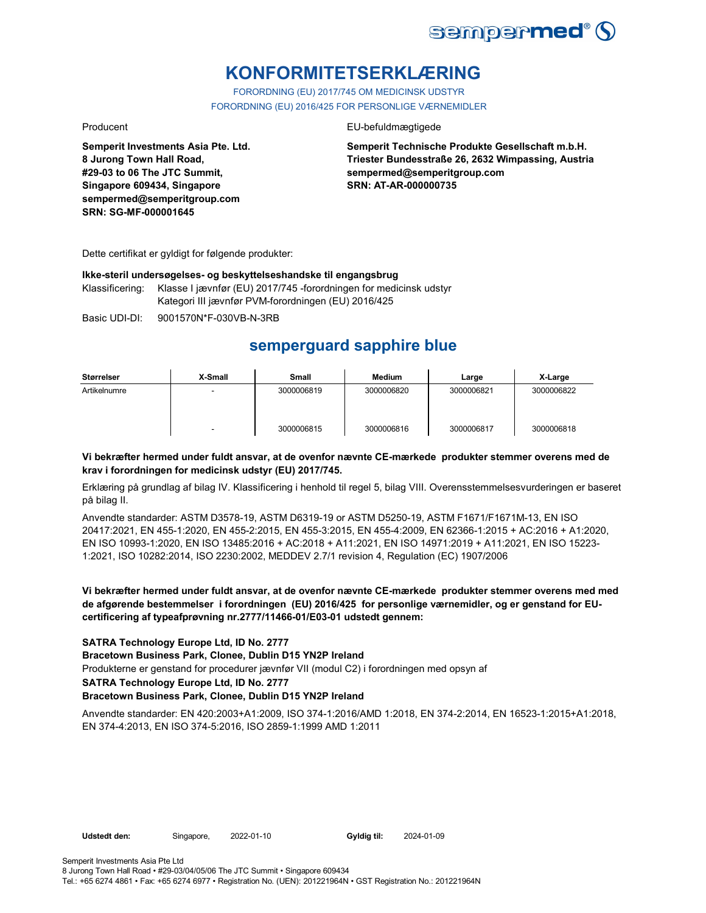

# **KONFORMITETSERKLÆRING**

FORORDNING (EU) 2017/745 OM MEDICINSK UDSTYR FORORDNING (EU) 2016/425 FOR PERSONLIGE VÆRNEMIDLER

**Semperit Investments Asia Pte. Ltd. 8 Jurong Town Hall Road, #29-03 to 06 The JTC Summit, Singapore 609434, Singapore sempermed@semperitgroup.com SRN: SG-MF-000001645**

#### Producent EU-befuldmægtigede

**Semperit Technische Produkte Gesellschaft m.b.H. Triester Bundesstraße 26, 2632 Wimpassing, Austria sempermed@semperitgroup.com SRN: AT-AR-000000735**

Dette certifikat er gyldigt for følgende produkter:

#### **Ikke-steril undersøgelses- og beskyttelseshandske til engangsbrug**

Klassificering: Klasse I jævnfør (EU) 2017/745 -forordningen for medicinsk udstyr Kategori III jævnfør PVM-forordningen (EU) 2016/425

Basic UDI-DI: 9001570N\*F-030VB-N-3RB

# **semperguard sapphire blue**

| Størrelser   | X-Small | Small      | Medium     | Large      | X-Large    |
|--------------|---------|------------|------------|------------|------------|
| Artikelnumre |         | 3000006819 | 3000006820 | 3000006821 | 3000006822 |
|              |         | 3000006815 | 3000006816 | 3000006817 | 3000006818 |

### **Vi bekræfter hermed under fuldt ansvar, at de ovenfor nævnte CE-mærkede produkter stemmer overens med de krav i forordningen for medicinsk udstyr (EU) 2017/745.**

Erklæring på grundlag af bilag IV. Klassificering i henhold til regel 5, bilag VIII. Overensstemmelsesvurderingen er baseret på bilag II.

Anvendte standarder: ASTM D3578-19, ASTM D6319-19 or ASTM D5250-19, ASTM F1671/F1671M-13, EN ISO 20417:2021, EN 455-1:2020, EN 455-2:2015, EN 455-3:2015, EN 455-4:2009, EN 62366-1:2015 + AC:2016 + A1:2020, EN ISO 10993-1:2020, EN ISO 13485:2016 + AC:2018 + A11:2021, EN ISO 14971:2019 + A11:2021, EN ISO 15223- 1:2021, ISO 10282:2014, ISO 2230:2002, MEDDEV 2.7/1 revision 4, Regulation (EC) 1907/2006

### **Vi bekræfter hermed under fuldt ansvar, at de ovenfor nævnte CE-mærkede produkter stemmer overens med med de afgørende bestemmelser i forordningen (EU) 2016/425 for personlige værnemidler, og er genstand for EUcertificering af typeafprøvning nr.2777/11466-01/E03-01 udstedt gennem:**

### **SATRA Technology Europe Ltd, ID No. 2777**

#### **Bracetown Business Park, Clonee, Dublin D15 YN2P Ireland**

Produkterne er genstand for procedurer jævnfør VII (modul C2) i forordningen med opsyn af

**SATRA Technology Europe Ltd, ID No. 2777**

### **Bracetown Business Park, Clonee, Dublin D15 YN2P Ireland**

Anvendte standarder: EN 420:2003+A1:2009, ISO 374-1:2016/AMD 1:2018, EN 374-2:2014, EN 16523-1:2015+A1:2018, EN 374-4:2013, EN ISO 374-5:2016, ISO 2859-1:1999 AMD 1:2011

**Udstedt den:** Singapore, 2022-01-10 **Gyldig til:** 2024-01-09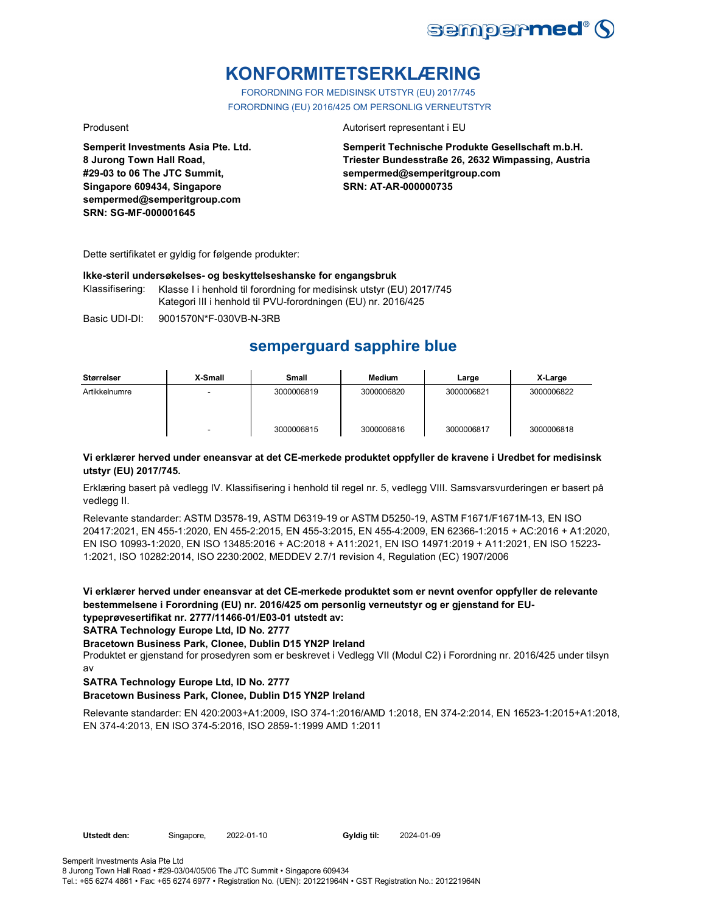

# **KONFORMITETSERKLÆRING**

FORORDNING FOR MEDISINSK UTSTYR (EU) 2017/745 FORORDNING (EU) 2016/425 OM PERSONLIG VERNEUTSTYR

**Semperit Investments Asia Pte. Ltd. 8 Jurong Town Hall Road, #29-03 to 06 The JTC Summit, Singapore 609434, Singapore sempermed@semperitgroup.com SRN: SG-MF-000001645**

#### Produsent **Autorisert representant i EU**

**Semperit Technische Produkte Gesellschaft m.b.H. Triester Bundesstraße 26, 2632 Wimpassing, Austria sempermed@semperitgroup.com SRN: AT-AR-000000735**

Dette sertifikatet er gyldig for følgende produkter:

#### **Ikke-steril undersøkelses- og beskyttelseshanske for engangsbruk**

Klassifisering: Klasse I i henhold til forordning for medisinsk utstyr (EU) 2017/745 Kategori III i henhold til PVU-forordningen (EU) nr. 2016/425

Basic UDI-DI: 9001570N\*F-030VB-N-3RB

# **semperguard sapphire blue**

| Størrelser    | X-Small | <b>Small</b> | Medium     | Large      | X-Large    |
|---------------|---------|--------------|------------|------------|------------|
| Artikkelnumre | -       | 3000006819   | 3000006820 | 3000006821 | 3000006822 |
|               |         | 3000006815   | 3000006816 | 3000006817 | 3000006818 |

### **Vi erklærer herved under eneansvar at det CE-merkede produktet oppfyller de kravene i Uredbet for medisinsk utstyr (EU) 2017/745.**

Erklæring basert på vedlegg IV. Klassifisering i henhold til regel nr. 5, vedlegg VIII. Samsvarsvurderingen er basert på vedlegg II.

Relevante standarder: ASTM D3578-19, ASTM D6319-19 or ASTM D5250-19, ASTM F1671/F1671M-13, EN ISO 20417:2021, EN 455-1:2020, EN 455-2:2015, EN 455-3:2015, EN 455-4:2009, EN 62366-1:2015 + AC:2016 + A1:2020, EN ISO 10993-1:2020, EN ISO 13485:2016 + AC:2018 + A11:2021, EN ISO 14971:2019 + A11:2021, EN ISO 15223- 1:2021, ISO 10282:2014, ISO 2230:2002, MEDDEV 2.7/1 revision 4, Regulation (EC) 1907/2006

**Vi erklærer herved under eneansvar at det CE-merkede produktet som er nevnt ovenfor oppfyller de relevante bestemmelsene i Forordning (EU) nr. 2016/425 om personlig verneutstyr og er gjenstand for EUtypeprøvesertifikat nr. 2777/11466-01/E03-01 utstedt av:**

**SATRA Technology Europe Ltd, ID No. 2777**

**Bracetown Business Park, Clonee, Dublin D15 YN2P Ireland**

Produktet er gjenstand for prosedyren som er beskrevet i Vedlegg VII (Modul C2) i Forordning nr. 2016/425 under tilsyn av

### **SATRA Technology Europe Ltd, ID No. 2777**

### **Bracetown Business Park, Clonee, Dublin D15 YN2P Ireland**

Relevante standarder: EN 420:2003+A1:2009, ISO 374-1:2016/AMD 1:2018, EN 374-2:2014, EN 16523-1:2015+A1:2018, EN 374-4:2013, EN ISO 374-5:2016, ISO 2859-1:1999 AMD 1:2011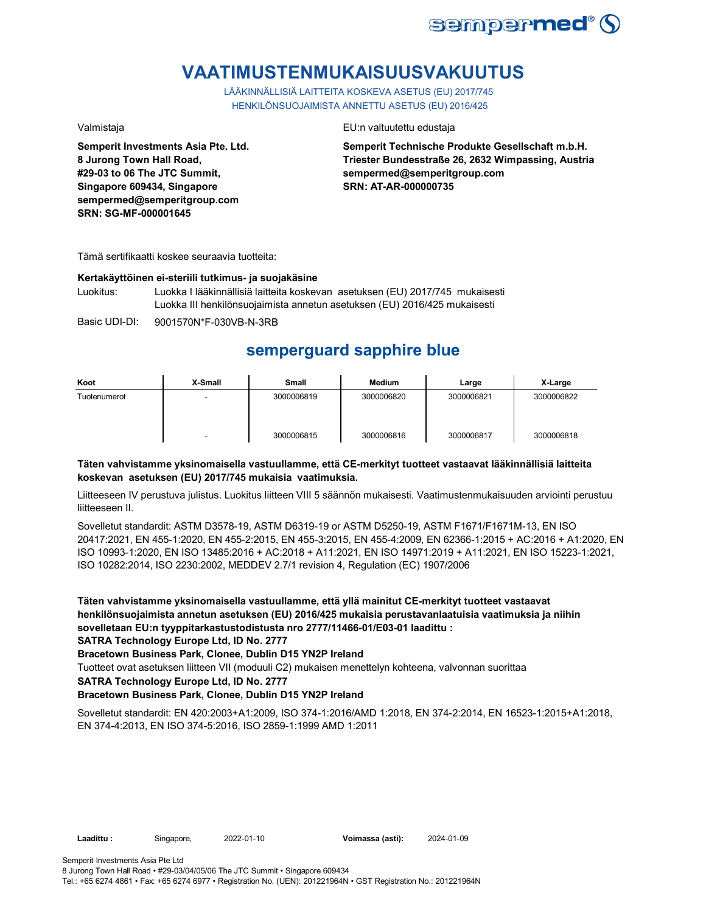

# **VAATIMUSTENMUKAISUUSVAKUUTUS**

LÄÄKINNÄLLISIÄ LAITTEITA KOSKEVA ASETUS (EU) 2017/745 HENKILÖNSUOJAIMISTA ANNETTU ASETUS (EU) 2016/425

**Semperit Investments Asia Pte. Ltd. 8 Jurong Town Hall Road, #29-03 to 06 The JTC Summit, Singapore 609434, Singapore sempermed@semperitgroup.com SRN: SG-MF-000001645**

Valmistaja EU:n valtuutettu edustaja

**Semperit Technische Produkte Gesellschaft m.b.H. Triester Bundesstraße 26, 2632 Wimpassing, Austria sempermed@semperitgroup.com SRN: AT-AR-000000735**

Tämä sertifikaatti koskee seuraavia tuotteita:

#### **Kertakäyttöinen ei-steriili tutkimus- ja suojakäsine**

Luokitus: Luokka I lääkinnällisiä laitteita koskevan asetuksen (EU) 2017/745 mukaisesti Luokka III henkilönsuojaimista annetun asetuksen (EU) 2016/425 mukaisesti

Basic UDI-DI: 9001570N\*F-030VB-N-3RB

# **semperguard sapphire blue**

| Koot         | X-Small | Small      | <b>Medium</b> | Large      | X-Large    |
|--------------|---------|------------|---------------|------------|------------|
| Tuotenumerot | -       | 3000006819 | 3000006820    | 3000006821 | 3000006822 |
|              | -       | 3000006815 | 3000006816    | 3000006817 | 3000006818 |

### **Täten vahvistamme yksinomaisella vastuullamme, että CE-merkityt tuotteet vastaavat lääkinnällisiä laitteita koskevan asetuksen (EU) 2017/745 mukaisia vaatimuksia.**

Liitteeseen IV perustuva julistus. Luokitus liitteen VIII 5 säännön mukaisesti. Vaatimustenmukaisuuden arviointi perustuu liitteeseen II.

Sovelletut standardit: ASTM D3578-19, ASTM D6319-19 or ASTM D5250-19, ASTM F1671/F1671M-13, EN ISO 20417:2021, EN 455-1:2020, EN 455-2:2015, EN 455-3:2015, EN 455-4:2009, EN 62366-1:2015 + AC:2016 + A1:2020, EN ISO 10993-1:2020, EN ISO 13485:2016 + AC:2018 + A11:2021, EN ISO 14971:2019 + A11:2021, EN ISO 15223-1:2021, ISO 10282:2014, ISO 2230:2002, MEDDEV 2.7/1 revision 4, Regulation (EC) 1907/2006

**Täten vahvistamme yksinomaisella vastuullamme, että yllä mainitut CE-merkityt tuotteet vastaavat henkilönsuojaimista annetun asetuksen (EU) 2016/425 mukaisia perustavanlaatuisia vaatimuksia ja niihin sovelletaan EU:n tyyppitarkastustodistusta nro 2777/11466-01/E03-01 laadittu :**

**SATRA Technology Europe Ltd, ID No. 2777**

**Bracetown Business Park, Clonee, Dublin D15 YN2P Ireland**

Tuotteet ovat asetuksen liitteen VII (moduuli C2) mukaisen menettelyn kohteena, valvonnan suorittaa

**SATRA Technology Europe Ltd, ID No. 2777**

### **Bracetown Business Park, Clonee, Dublin D15 YN2P Ireland**

Sovelletut standardit: EN 420:2003+A1:2009, ISO 374-1:2016/AMD 1:2018, EN 374-2:2014, EN 16523-1:2015+A1:2018, EN 374-4:2013, EN ISO 374-5:2016, ISO 2859-1:1999 AMD 1:2011

| Laadittu :<br>Singapore, |
|--------------------------|
|--------------------------|

**Laadittu :** Singapore, 2022-01-10 **Voimassa (asti):** 2024-01-09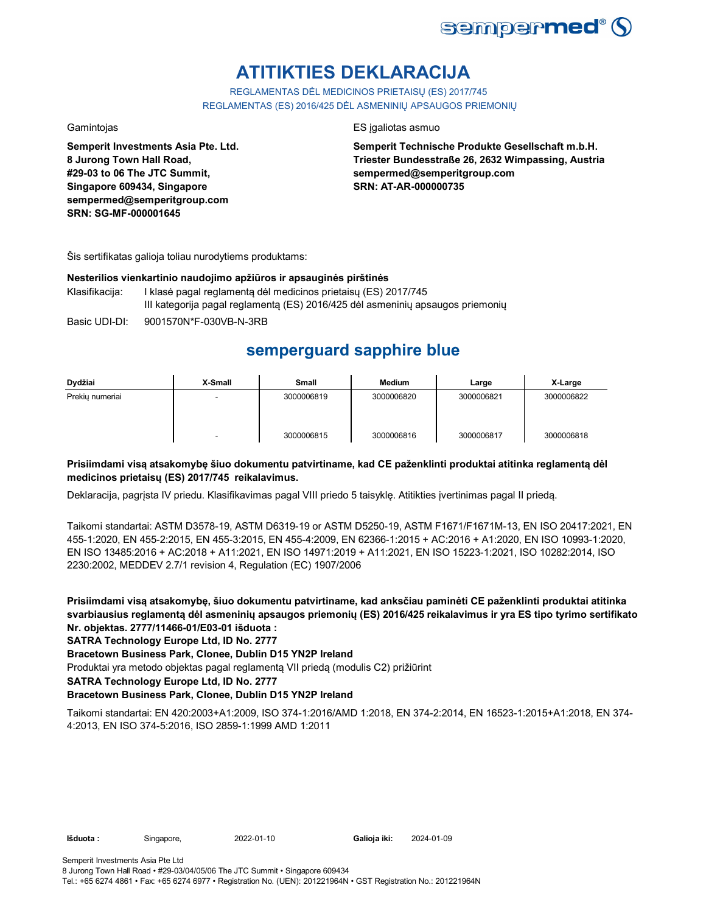

# **ATITIKTIES DEKLARACIJA**

REGLAMENTAS DĖL MEDICINOS PRIETAISŲ (ES) 2017/745 REGLAMENTAS (ES) 2016/425 DĖL ASMENINIŲ APSAUGOS PRIEMONIŲ

**Semperit Investments Asia Pte. Ltd. 8 Jurong Town Hall Road, #29-03 to 06 The JTC Summit, Singapore 609434, Singapore sempermed@semperitgroup.com SRN: SG-MF-000001645**

### Gamintojas ES įgaliotas asmuo

**Semperit Technische Produkte Gesellschaft m.b.H. Triester Bundesstraße 26, 2632 Wimpassing, Austria sempermed@semperitgroup.com SRN: AT-AR-000000735**

Šis sertifikatas galioja toliau nurodytiems produktams:

#### **Nesterilios vienkartinio naudojimo apžiūros ir apsauginės pirštinės**

- Klasifikacija: I klasė pagal reglamentą dėl medicinos prietaisų (ES) 2017/745 III kategorija pagal reglamentą (ES) 2016/425 dėl asmeninių apsaugos priemonių
- Basic UDI-DI: 9001570N\*F-030VB-N-3RB

# **semperguard sapphire blue**

| Dydžiai         | X-Small | Small      | Medium     | Large      | X-Large    |
|-----------------|---------|------------|------------|------------|------------|
| Prekiu numeriai | -       | 3000006819 | 3000006820 | 3000006821 | 3000006822 |
|                 |         | 3000006815 | 3000006816 | 3000006817 | 3000006818 |

### **Prisiimdami visą atsakomybę šiuo dokumentu patvirtiname, kad CE paženklinti produktai atitinka reglamentą dėl medicinos prietaisų (ES) 2017/745 reikalavimus.**

Deklaracija, pagrįsta IV priedu. Klasifikavimas pagal VIII priedo 5 taisyklę. Atitikties įvertinimas pagal II priedą.

Taikomi standartai: ASTM D3578-19, ASTM D6319-19 or ASTM D5250-19, ASTM F1671/F1671M-13, EN ISO 20417:2021, EN 455-1:2020, EN 455-2:2015, EN 455-3:2015, EN 455-4:2009, EN 62366-1:2015 + AC:2016 + A1:2020, EN ISO 10993-1:2020, EN ISO 13485:2016 + AC:2018 + A11:2021, EN ISO 14971:2019 + A11:2021, EN ISO 15223-1:2021, ISO 10282:2014, ISO 2230:2002, MEDDEV 2.7/1 revision 4, Regulation (EC) 1907/2006

**Prisiimdami visą atsakomybę, šiuo dokumentu patvirtiname, kad anksčiau paminėti CE paženklinti produktai atitinka svarbiausius reglamentą dėl asmeninių apsaugos priemonių (ES) 2016/425 reikalavimus ir yra ES tipo tyrimo sertifikato Nr. objektas. 2777/11466-01/E03-01 išduota :**

### **SATRA Technology Europe Ltd, ID No. 2777**

**Bracetown Business Park, Clonee, Dublin D15 YN2P Ireland**

Produktai yra metodo objektas pagal reglamentą VII priedą (modulis C2) prižiūrint

**SATRA Technology Europe Ltd, ID No. 2777**

### **Bracetown Business Park, Clonee, Dublin D15 YN2P Ireland**

Taikomi standartai: EN 420:2003+A1:2009, ISO 374-1:2016/AMD 1:2018, EN 374-2:2014, EN 16523-1:2015+A1:2018, EN 374- 4:2013, EN ISO 374-5:2016, ISO 2859-1:1999 AMD 1:2011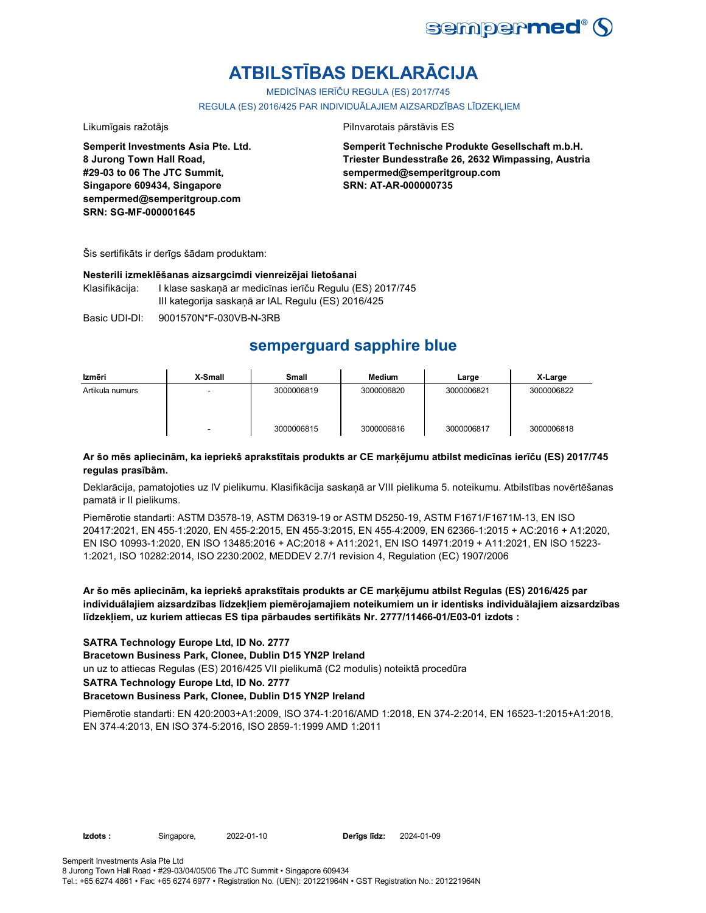

# **ATBILSTĪBAS DEKLARĀCIJA**

MEDICĪNAS IERĪČU REGULA (ES) 2017/745

REGULA (ES) 2016/425 PAR INDIVIDUĀLAJIEM AIZSARDZĪBAS LĪDZEKLIEM

Likumīgais ražotājs **Pilnvarotais pārstāvis ES** 

**Semperit Investments Asia Pte. Ltd. 8 Jurong Town Hall Road, #29-03 to 06 The JTC Summit, Singapore 609434, Singapore sempermed@semperitgroup.com SRN: SG-MF-000001645**

**Semperit Technische Produkte Gesellschaft m.b.H. Triester Bundesstraße 26, 2632 Wimpassing, Austria sempermed@semperitgroup.com SRN: AT-AR-000000735**

Šis sertifikāts ir derīgs šādam produktam:

#### **Nesterili izmeklēšanas aizsargcimdi vienreizējai lietošanai**

Klasifikācija: I klase saskaņā ar medicīnas ierīču Regulu (ES) 2017/745 III kategorija saskaņā ar IAL Regulu (ES) 2016/425

Basic UDI-DI: 9001570N\*F-030VB-N-3RB

# **semperguard sapphire blue**

| Izmēri          | X-Small | <b>Small</b> | Medium     | Large      | X-Large    |
|-----------------|---------|--------------|------------|------------|------------|
| Artikula numurs | -       | 3000006819   | 3000006820 | 3000006821 | 3000006822 |
|                 | -       | 3000006815   | 3000006816 | 3000006817 | 3000006818 |

### **Ar šo mēs apliecinām, ka iepriekš aprakstītais produkts ar CE marķējumu atbilst medicīnas ierīču (ES) 2017/745 regulas prasībām.**

Deklarācija, pamatojoties uz IV pielikumu. Klasifikācija saskaņā ar VIII pielikuma 5. noteikumu. Atbilstības novērtēšanas pamatā ir II pielikums.

Piemērotie standarti: ASTM D3578-19, ASTM D6319-19 or ASTM D5250-19, ASTM F1671/F1671M-13, EN ISO 20417:2021, EN 455-1:2020, EN 455-2:2015, EN 455-3:2015, EN 455-4:2009, EN 62366-1:2015 + AC:2016 + A1:2020, EN ISO 10993-1:2020, EN ISO 13485:2016 + AC:2018 + A11:2021, EN ISO 14971:2019 + A11:2021, EN ISO 15223- 1:2021, ISO 10282:2014, ISO 2230:2002, MEDDEV 2.7/1 revision 4, Regulation (EC) 1907/2006

**Ar šo mēs apliecinām, ka iepriekš aprakstītais produkts ar CE marķējumu atbilst Regulas (ES) 2016/425 par individuālajiem aizsardzības līdzekļiem piemērojamajiem noteikumiem un ir identisks individuālajiem aizsardzības līdzekļiem, uz kuriem attiecas ES tipa pārbaudes sertifikāts Nr. 2777/11466-01/E03-01 izdots :**

### **SATRA Technology Europe Ltd, ID No. 2777**

**Bracetown Business Park, Clonee, Dublin D15 YN2P Ireland**

un uz to attiecas Regulas (ES) 2016/425 VII pielikumā (C2 modulis) noteiktā procedūra

**SATRA Technology Europe Ltd, ID No. 2777**

#### **Bracetown Business Park, Clonee, Dublin D15 YN2P Ireland**

Piemērotie standarti: EN 420:2003+A1:2009, ISO 374-1:2016/AMD 1:2018, EN 374-2:2014, EN 16523-1:2015+A1:2018, EN 374-4:2013, EN ISO 374-5:2016, ISO 2859-1:1999 AMD 1:2011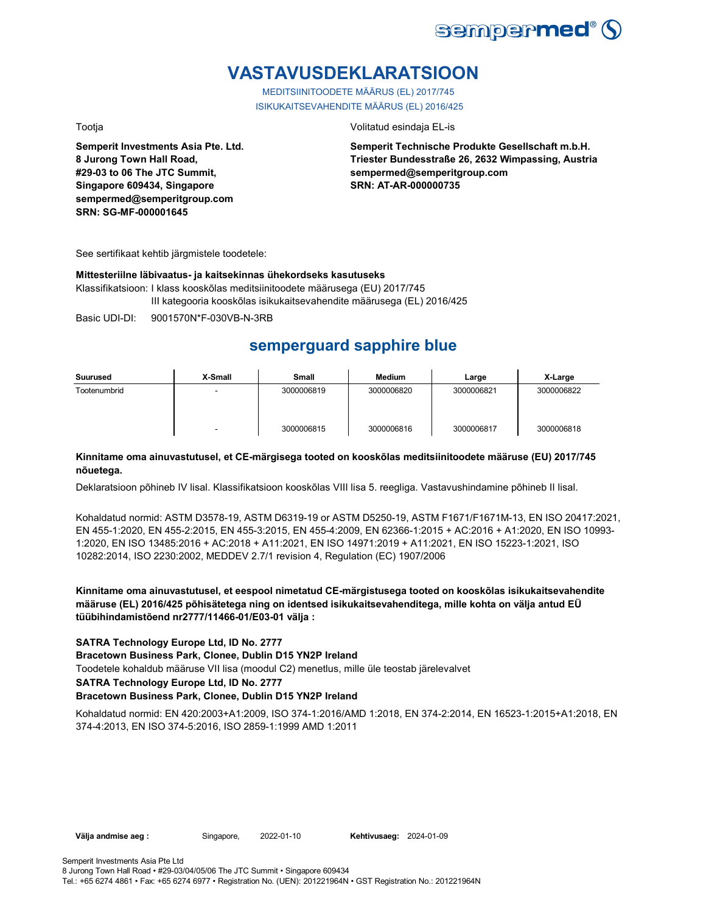

# **VASTAVUSDEKLARATSIOON**

MEDITSIINITOODETE MÄÄRUS (EL) 2017/745 ISIKUKAITSEVAHENDITE MÄÄRUS (EL) 2016/425

**Semperit Investments Asia Pte. Ltd. 8 Jurong Town Hall Road, #29-03 to 06 The JTC Summit, Singapore 609434, Singapore sempermed@semperitgroup.com SRN: SG-MF-000001645**

Tootja Volitatud esindaja EL-is

**Semperit Technische Produkte Gesellschaft m.b.H. Triester Bundesstraße 26, 2632 Wimpassing, Austria sempermed@semperitgroup.com SRN: AT-AR-000000735**

See sertifikaat kehtib järgmistele toodetele:

#### **Mittesteriilne läbivaatus- ja kaitsekinnas ühekordseks kasutuseks**

Klassifikatsioon: I klass kooskõlas meditsiinitoodete määrusega (EU) 2017/745 III kategooria kooskõlas isikukaitsevahendite määrusega (EL) 2016/425

Basic UDI-DI: 9001570N\*F-030VB-N-3RB

# **semperguard sapphire blue**

| Suurused     | X-Small                  | <b>Small</b> | Medium     | Large      | X-Large    |
|--------------|--------------------------|--------------|------------|------------|------------|
| Tootenumbrid | -                        | 3000006819   | 3000006820 | 3000006821 | 3000006822 |
|              | $\overline{\phantom{0}}$ | 3000006815   | 3000006816 | 3000006817 | 3000006818 |

### **Kinnitame oma ainuvastutusel, et CE-märgisega tooted on kooskõlas meditsiinitoodete määruse (EU) 2017/745 nõuetega.**

Deklaratsioon põhineb IV lisal. Klassifikatsioon kooskõlas VIII lisa 5. reegliga. Vastavushindamine põhineb II lisal.

Kohaldatud normid: ASTM D3578-19, ASTM D6319-19 or ASTM D5250-19, ASTM F1671/F1671M-13, EN ISO 20417:2021, EN 455-1:2020, EN 455-2:2015, EN 455-3:2015, EN 455-4:2009, EN 62366-1:2015 + AC:2016 + A1:2020, EN ISO 10993- 1:2020, EN ISO 13485:2016 + AC:2018 + A11:2021, EN ISO 14971:2019 + A11:2021, EN ISO 15223-1:2021, ISO 10282:2014, ISO 2230:2002, MEDDEV 2.7/1 revision 4, Regulation (EC) 1907/2006

**Kinnitame oma ainuvastutusel, et eespool nimetatud CE-märgistusega tooted on kooskõlas isikukaitsevahendite määruse (EL) 2016/425 põhisätetega ning on identsed isikukaitsevahenditega, mille kohta on välja antud EÜ tüübihindamistõend nr2777/11466-01/E03-01 välja :**

### **SATRA Technology Europe Ltd, ID No. 2777**

**Bracetown Business Park, Clonee, Dublin D15 YN2P Ireland**

Toodetele kohaldub määruse VII lisa (moodul C2) menetlus, mille üle teostab järelevalvet

**SATRA Technology Europe Ltd, ID No. 2777**

#### **Bracetown Business Park, Clonee, Dublin D15 YN2P Ireland**

Kohaldatud normid: EN 420:2003+A1:2009, ISO 374-1:2016/AMD 1:2018, EN 374-2:2014, EN 16523-1:2015+A1:2018, EN 374-4:2013, EN ISO 374-5:2016, ISO 2859-1:1999 AMD 1:2011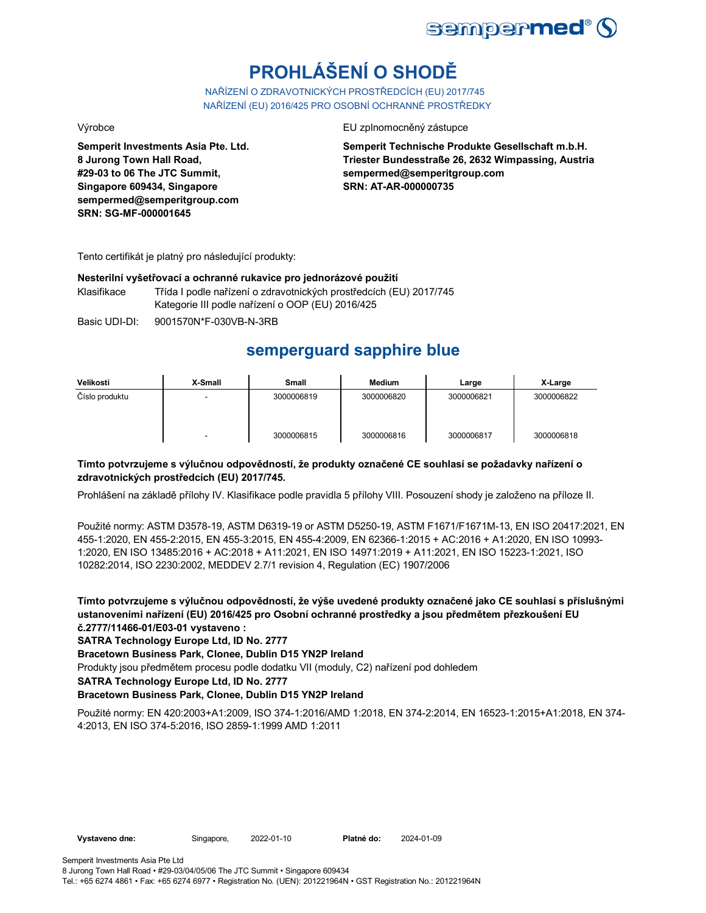

# **PROHLÁŠENÍ O SHODĚ**

NAŘÍZENÍ O ZDRAVOTNICKÝCH PROSTŘEDCÍCH (EU) 2017/745 NAŘÍZENÍ (EU) 2016/425 PRO OSOBNÍ OCHRANNÉ PROSTŘEDKY

**Semperit Investments Asia Pte. Ltd. 8 Jurong Town Hall Road, #29-03 to 06 The JTC Summit, Singapore 609434, Singapore sempermed@semperitgroup.com SRN: SG-MF-000001645**

Výrobce EU zplnomocněný zástupce

**Semperit Technische Produkte Gesellschaft m.b.H. Triester Bundesstraße 26, 2632 Wimpassing, Austria sempermed@semperitgroup.com SRN: AT-AR-000000735**

Tento certifikát je platný pro následující produkty:

#### **Nesterilní vyšetřovací a ochranné rukavice pro jednorázové použití**

Klasifikace Třída I podle nařízení o zdravotnických prostředcích (EU) 2017/745 Kategorie III podle nařízení o OOP (EU) 2016/425

Basic UDI-DI: 9001570N\*F-030VB-N-3RB

## **semperguard sapphire blue**

| Velikosti      | X-Small | Small      | <b>Medium</b> | Large      | X-Large    |
|----------------|---------|------------|---------------|------------|------------|
| Číslo produktu | -       | 3000006819 | 3000006820    | 3000006821 | 3000006822 |
|                |         | 3000006815 | 3000006816    | 3000006817 | 3000006818 |

### **Tímto potvrzujeme s výlučnou odpovědností, že produkty označené CE souhlasí se požadavky nařízení o zdravotnických prostředcích (EU) 2017/745.**

Prohlášení na základě přílohy IV. Klasifikace podle pravidla 5 přílohy VIII. Posouzení shody je založeno na příloze II.

Použité normy: ASTM D3578-19, ASTM D6319-19 or ASTM D5250-19, ASTM F1671/F1671M-13, EN ISO 20417:2021, EN 455-1:2020, EN 455-2:2015, EN 455-3:2015, EN 455-4:2009, EN 62366-1:2015 + AC:2016 + A1:2020, EN ISO 10993- 1:2020, EN ISO 13485:2016 + AC:2018 + A11:2021, EN ISO 14971:2019 + A11:2021, EN ISO 15223-1:2021, ISO 10282:2014, ISO 2230:2002, MEDDEV 2.7/1 revision 4, Regulation (EC) 1907/2006

**Tímto potvrzujeme s výlučnou odpovědností, že výše uvedené produkty označené jako CE souhlasí s příslušnými ustanoveními nařízení (EU) 2016/425 pro Osobní ochranné prostředky a jsou předmětem přezkoušení EU č.2777/11466-01/E03-01 vystaveno :**

**SATRA Technology Europe Ltd, ID No. 2777**

**Bracetown Business Park, Clonee, Dublin D15 YN2P Ireland**

Produkty jsou předmětem procesu podle dodatku VII (moduly, C2) nařízení pod dohledem

**SATRA Technology Europe Ltd, ID No. 2777**

### **Bracetown Business Park, Clonee, Dublin D15 YN2P Ireland**

Použité normy: EN 420:2003+A1:2009, ISO 374-1:2016/AMD 1:2018, EN 374-2:2014, EN 16523-1:2015+A1:2018, EN 374- 4:2013, EN ISO 374-5:2016, ISO 2859-1:1999 AMD 1:2011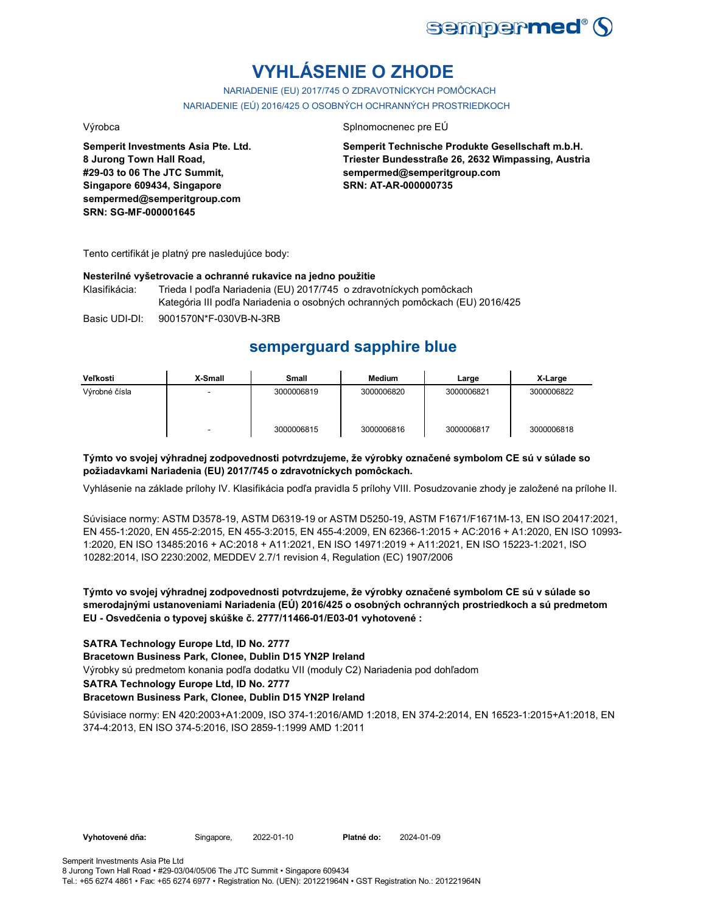

# **VYHLÁSENIE O ZHODE**

NARIADENIE (EU) 2017/745 O ZDRAVOTNÍCKYCH POMÔCKACH NARIADENIE (EÚ) 2016/425 O OSOBNÝCH OCHRANNÝCH PROSTRIEDKOCH

**Semperit Investments Asia Pte. Ltd. 8 Jurong Town Hall Road, #29-03 to 06 The JTC Summit, Singapore 609434, Singapore sempermed@semperitgroup.com SRN: SG-MF-000001645**

#### Výrobca Splnomocnenec pre EÚ

**Semperit Technische Produkte Gesellschaft m.b.H. Triester Bundesstraße 26, 2632 Wimpassing, Austria sempermed@semperitgroup.com SRN: AT-AR-000000735**

Tento certifikát je platný pre nasledujúce body:

#### **Nesterilné vyšetrovacie a ochranné rukavice na jedno použitie**

Klasifikácia: Trieda I podľa Nariadenia (EU) 2017/745 o zdravotníckych pomôckach Kategória III podľa Nariadenia o osobných ochranných pomôckach (EU) 2016/425

Basic UDI-DI: 9001570N\*F-030VB-N-3RB

# **semperguard sapphire blue**

| Veľkosti      | X-Small | Small      | Medium     | Large      | X-Large    |
|---------------|---------|------------|------------|------------|------------|
| Výrobné čísla |         | 3000006819 | 3000006820 | 3000006821 | 3000006822 |
|               | -       | 3000006815 | 3000006816 | 3000006817 | 3000006818 |

### **Týmto vo svojej výhradnej zodpovednosti potvrdzujeme, že výrobky označené symbolom CE sú v súlade so požiadavkami Nariadenia (EU) 2017/745 o zdravotníckych pomôckach.**

Vyhlásenie na základe prílohy IV. Klasifikácia podľa pravidla 5 prílohy VIII. Posudzovanie zhody je založené na prílohe II.

Súvisiace normy: ASTM D3578-19, ASTM D6319-19 or ASTM D5250-19, ASTM F1671/F1671M-13, EN ISO 20417:2021, EN 455-1:2020, EN 455-2:2015, EN 455-3:2015, EN 455-4:2009, EN 62366-1:2015 + AC:2016 + A1:2020, EN ISO 10993- 1:2020, EN ISO 13485:2016 + AC:2018 + A11:2021, EN ISO 14971:2019 + A11:2021, EN ISO 15223-1:2021, ISO 10282:2014, ISO 2230:2002, MEDDEV 2.7/1 revision 4, Regulation (EC) 1907/2006

### **Týmto vo svojej výhradnej zodpovednosti potvrdzujeme, že výrobky označené symbolom CE sú v súlade so smerodajnými ustanoveniami Nariadenia (EÚ) 2016/425 o osobných ochranných prostriedkoch a sú predmetom EU - Osvedčenia o typovej skúške č. 2777/11466-01/E03-01 vyhotovené :**

### **SATRA Technology Europe Ltd, ID No. 2777**

**Bracetown Business Park, Clonee, Dublin D15 YN2P Ireland**

Výrobky sú predmetom konania podľa dodatku VII (moduly C2) Nariadenia pod dohľadom

#### **SATRA Technology Europe Ltd, ID No. 2777**

### **Bracetown Business Park, Clonee, Dublin D15 YN2P Ireland**

Súvisiace normy: EN 420:2003+A1:2009, ISO 374-1:2016/AMD 1:2018, EN 374-2:2014, EN 16523-1:2015+A1:2018, EN 374-4:2013, EN ISO 374-5:2016, ISO 2859-1:1999 AMD 1:2011

**Vyhotovené dňa:** Singapore, 2022-01-10 **Platné do:** 2024-01-09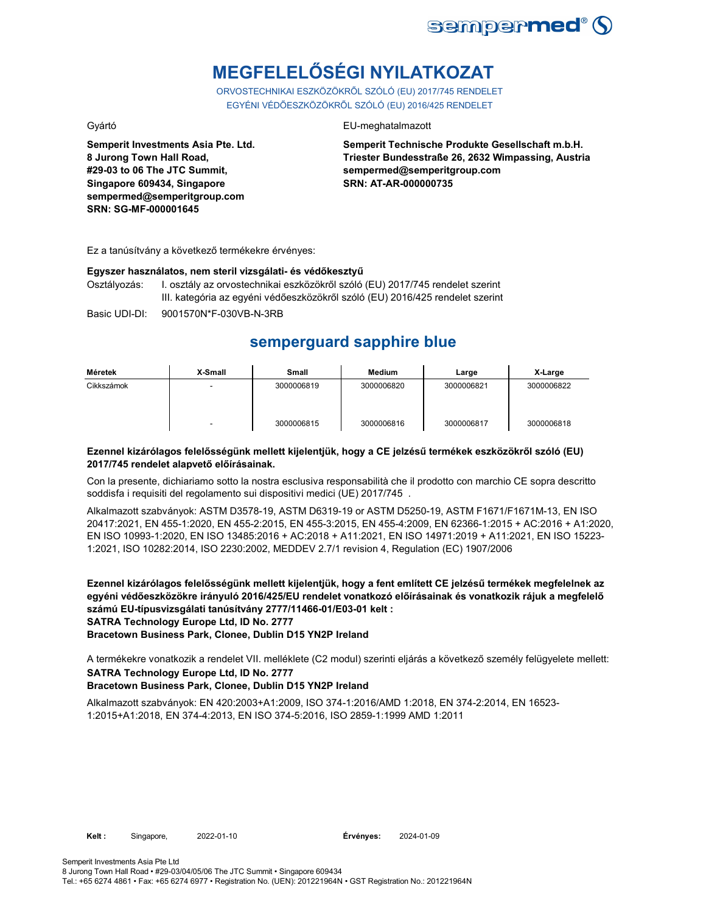

# **MEGFELELŐSÉGI NYILATKOZAT**

ORVOSTECHNIKAI ESZKÖZÖKRŐL SZÓLÓ (EU) 2017/745 RENDELET EGYÉNI VÉDŐESZKÖZÖKRŐL SZÓLÓ (EU) 2016/425 RENDELET

Gyártó EU-meghatalmazott

**Semperit Investments Asia Pte. Ltd. 8 Jurong Town Hall Road, #29-03 to 06 The JTC Summit, Singapore 609434, Singapore sempermed@semperitgroup.com SRN: SG-MF-000001645**

**Semperit Technische Produkte Gesellschaft m.b.H. Triester Bundesstraße 26, 2632 Wimpassing, Austria sempermed@semperitgroup.com SRN: AT-AR-000000735**

Ez a tanúsítvány a következő termékekre érvényes:

#### **Egyszer használatos, nem steril vizsgálati- és védőkesztyű**

Osztályozás: I. osztály az orvostechnikai eszközökről szóló (EU) 2017/745 rendelet szerint III. kategória az egyéni védőeszközökről szóló (EU) 2016/425 rendelet szerint

Basic UDI-DI: 9001570N\*F-030VB-N-3RB

## **semperguard sapphire blue**

| Méretek    | X-Small | Small      | Medium     | Large      | X-Large    |
|------------|---------|------------|------------|------------|------------|
| Cikkszámok |         | 3000006819 | 3000006820 | 3000006821 | 3000006822 |
|            |         | 3000006815 | 3000006816 | 3000006817 | 3000006818 |

#### **Ezennel kizárólagos felelősségünk mellett kijelentjük, hogy a CE jelzésű termékek eszközökről szóló (EU) 2017/745 rendelet alapvető előírásainak.**

Con la presente, dichiariamo sotto la nostra esclusiva responsabilità che il prodotto con marchio CE sopra descritto soddisfa i requisiti del regolamento sui dispositivi medici (UE) 2017/745 .

Alkalmazott szabványok: ASTM D3578-19, ASTM D6319-19 or ASTM D5250-19, ASTM F1671/F1671M-13, EN ISO 20417:2021, EN 455-1:2020, EN 455-2:2015, EN 455-3:2015, EN 455-4:2009, EN 62366-1:2015 + AC:2016 + A1:2020, EN ISO 10993-1:2020, EN ISO 13485:2016 + AC:2018 + A11:2021, EN ISO 14971:2019 + A11:2021, EN ISO 15223- 1:2021, ISO 10282:2014, ISO 2230:2002, MEDDEV 2.7/1 revision 4, Regulation (EC) 1907/2006

**Ezennel kizárólagos felelősségünk mellett kijelentjük, hogy a fent említett CE jelzésű termékek megfelelnek az egyéni védőeszközökre irányuló 2016/425/EU rendelet vonatkozó előírásainak és vonatkozik rájuk a megfelelő számú EU-típusvizsgálati tanúsítvány 2777/11466-01/E03-01 kelt : SATRA Technology Europe Ltd, ID No. 2777**

**Bracetown Business Park, Clonee, Dublin D15 YN2P Ireland**

**SATRA Technology Europe Ltd, ID No. 2777 Bracetown Business Park, Clonee, Dublin D15 YN2P Ireland** A termékekre vonatkozik a rendelet VII. melléklete (C2 modul) szerinti eljárás a következő személy felügyelete mellett:

Alkalmazott szabványok: EN 420:2003+A1:2009, ISO 374-1:2016/AMD 1:2018, EN 374-2:2014, EN 16523- 1:2015+A1:2018, EN 374-4:2013, EN ISO 374-5:2016, ISO 2859-1:1999 AMD 1:2011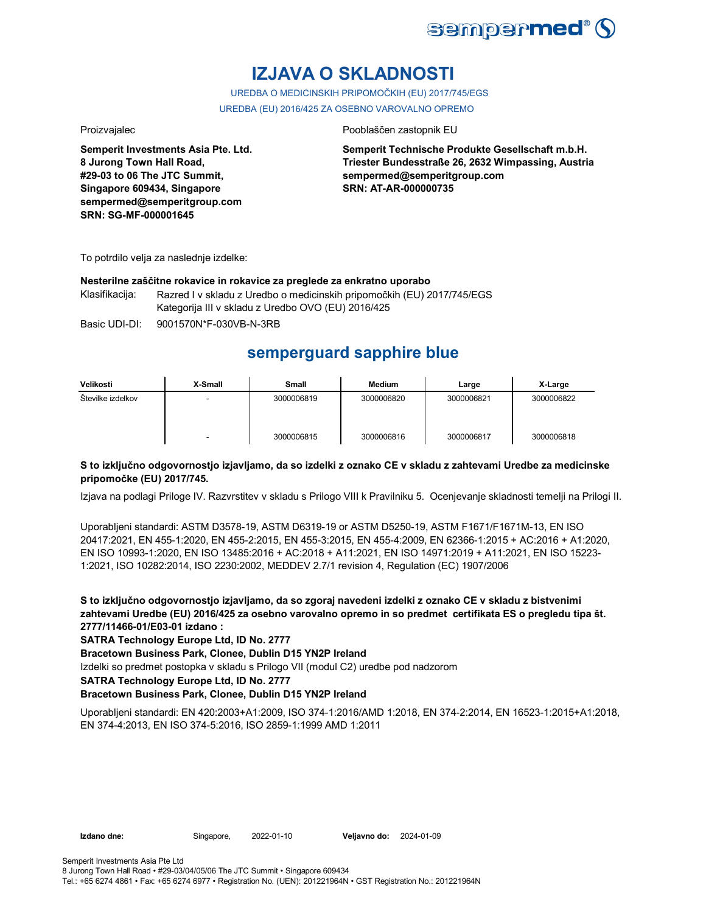

# **IZJAVA O SKLADNOSTI**

UREDBA O MEDICINSKIH PRIPOMOČKIH (EU) 2017/745/EGS UREDBA (EU) 2016/425 ZA OSEBNO VAROVALNO OPREMO

**Semperit Investments Asia Pte. Ltd. 8 Jurong Town Hall Road, #29-03 to 06 The JTC Summit, Singapore 609434, Singapore sempermed@semperitgroup.com SRN: SG-MF-000001645**

#### Proizvajalec Pooblaščen zastopnik EU

**Semperit Technische Produkte Gesellschaft m.b.H. Triester Bundesstraße 26, 2632 Wimpassing, Austria sempermed@semperitgroup.com SRN: AT-AR-000000735**

To potrdilo velja za naslednje izdelke:

#### **Nesterilne zaščitne rokavice in rokavice za preglede za enkratno uporabo**

Klasifikacija: Razred I v skladu z Uredbo o medicinskih pripomočkih (EU) 2017/745/EGS Kategorija III v skladu z Uredbo OVO (EU) 2016/425

Basic UDI-DI: 9001570N\*F-030VB-N-3RB

## **semperguard sapphire blue**

| Velikosti         | X-Small                  | Small      | <b>Medium</b> | Large      | X-Large    |
|-------------------|--------------------------|------------|---------------|------------|------------|
| Številke izdelkov | -                        | 3000006819 | 3000006820    | 3000006821 | 3000006822 |
|                   | $\overline{\phantom{0}}$ | 3000006815 | 3000006816    | 3000006817 | 3000006818 |

### **S to izključno odgovornostjo izjavljamo, da so izdelki z oznako CE v skladu z zahtevami Uredbe za medicinske pripomočke (EU) 2017/745.**

Izjava na podlagi Priloge IV. Razvrstitev v skladu s Prilogo VIII k Pravilniku 5. Ocenjevanje skladnosti temelji na Prilogi II.

Uporabljeni standardi: ASTM D3578-19, ASTM D6319-19 or ASTM D5250-19, ASTM F1671/F1671M-13, EN ISO 20417:2021, EN 455-1:2020, EN 455-2:2015, EN 455-3:2015, EN 455-4:2009, EN 62366-1:2015 + AC:2016 + A1:2020, EN ISO 10993-1:2020, EN ISO 13485:2016 + AC:2018 + A11:2021, EN ISO 14971:2019 + A11:2021, EN ISO 15223- 1:2021, ISO 10282:2014, ISO 2230:2002, MEDDEV 2.7/1 revision 4, Regulation (EC) 1907/2006

**S to izključno odgovornostjo izjavljamo, da so zgoraj navedeni izdelki z oznako CE v skladu z bistvenimi zahtevami Uredbe (EU) 2016/425 za osebno varovalno opremo in so predmet certifikata ES o pregledu tipa št. 2777/11466-01/E03-01 izdano :**

**SATRA Technology Europe Ltd, ID No. 2777**

**Bracetown Business Park, Clonee, Dublin D15 YN2P Ireland**

Izdelki so predmet postopka v skladu s Prilogo VII (modul C2) uredbe pod nadzorom

**SATRA Technology Europe Ltd, ID No. 2777**

### **Bracetown Business Park, Clonee, Dublin D15 YN2P Ireland**

Uporabljeni standardi: EN 420:2003+A1:2009, ISO 374-1:2016/AMD 1:2018, EN 374-2:2014, EN 16523-1:2015+A1:2018, EN 374-4:2013, EN ISO 374-5:2016, ISO 2859-1:1999 AMD 1:2011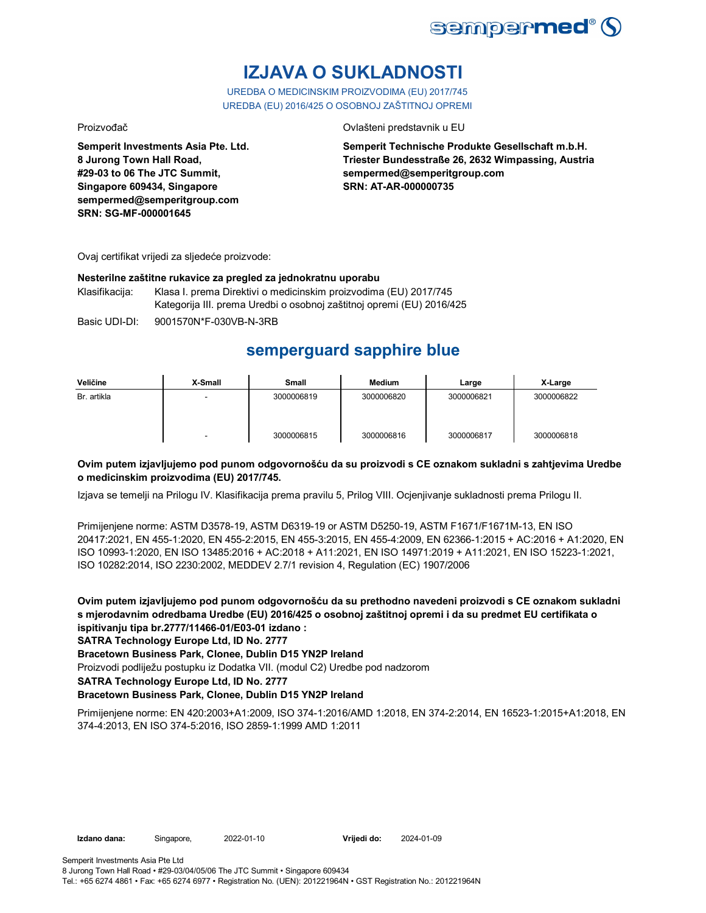

# **IZJAVA O SUKLADNOSTI**

UREDBA O MEDICINSKIM PROIZVODIMA (EU) 2017/745 UREDBA (EU) 2016/425 O OSOBNOJ ZAŠTITNOJ OPREMI

Proizvođač Ovlašteni predstavnik u EU

**Semperit Investments Asia Pte. Ltd. 8 Jurong Town Hall Road, #29-03 to 06 The JTC Summit, Singapore 609434, Singapore sempermed@semperitgroup.com SRN: SG-MF-000001645**

**Semperit Technische Produkte Gesellschaft m.b.H. Triester Bundesstraße 26, 2632 Wimpassing, Austria sempermed@semperitgroup.com SRN: AT-AR-000000735**

Ovaj certifikat vrijedi za sljedeće proizvode:

#### **Nesterilne zaštitne rukavice za pregled za jednokratnu uporabu**

Klasifikacija: Klasa I. prema Direktivi o medicinskim proizvodima (EU) 2017/745 Kategorija III. prema Uredbi o osobnoj zaštitnoj opremi (EU) 2016/425

Basic UDI-DI: 9001570N\*F-030VB-N-3RB

# **semperguard sapphire blue**

| Veličine    | X-Small | Small      | Medium     | Large      | X-Large    |
|-------------|---------|------------|------------|------------|------------|
| Br. artikla |         | 3000006819 | 3000006820 | 3000006821 | 3000006822 |
|             | -       | 3000006815 | 3000006816 | 3000006817 | 3000006818 |

### **Ovim putem izjavljujemo pod punom odgovornošću da su proizvodi s CE oznakom sukladni s zahtjevima Uredbe o medicinskim proizvodima (EU) 2017/745.**

Izjava se temelji na Prilogu IV. Klasifikacija prema pravilu 5, Prilog VIII. Ocjenjivanje sukladnosti prema Prilogu II.

Primijenjene norme: ASTM D3578-19, ASTM D6319-19 or ASTM D5250-19, ASTM F1671/F1671M-13, EN ISO 20417:2021, EN 455-1:2020, EN 455-2:2015, EN 455-3:2015, EN 455-4:2009, EN 62366-1:2015 + AC:2016 + A1:2020, EN ISO 10993-1:2020, EN ISO 13485:2016 + AC:2018 + A11:2021, EN ISO 14971:2019 + A11:2021, EN ISO 15223-1:2021, ISO 10282:2014, ISO 2230:2002, MEDDEV 2.7/1 revision 4, Regulation (EC) 1907/2006

**Ovim putem izjavljujemo pod punom odgovornošću da su prethodno navedeni proizvodi s CE oznakom sukladni s mjerodavnim odredbama Uredbe (EU) 2016/425 o osobnoj zaštitnoj opremi i da su predmet EU certifikata o ispitivanju tipa br.2777/11466-01/E03-01 izdano :**

**SATRA Technology Europe Ltd, ID No. 2777**

**Bracetown Business Park, Clonee, Dublin D15 YN2P Ireland**

Proizvodi podliježu postupku iz Dodatka VII. (modul C2) Uredbe pod nadzorom

**SATRA Technology Europe Ltd, ID No. 2777**

### **Bracetown Business Park, Clonee, Dublin D15 YN2P Ireland**

Primijenjene norme: EN 420:2003+A1:2009, ISO 374-1:2016/AMD 1:2018, EN 374-2:2014, EN 16523-1:2015+A1:2018, EN 374-4:2013, EN ISO 374-5:2016, ISO 2859-1:1999 AMD 1:2011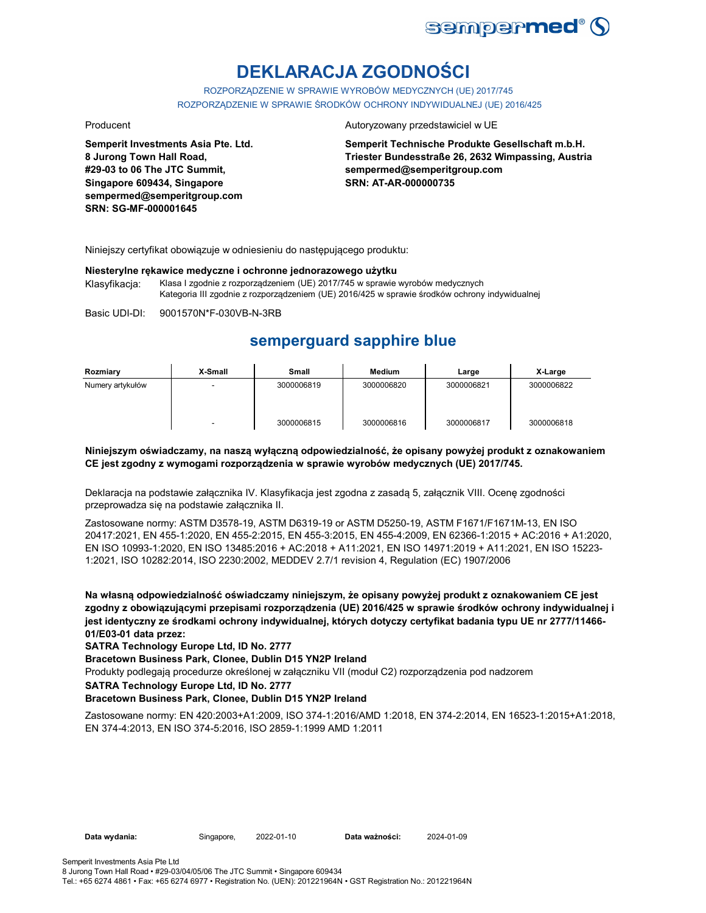

# **DEKLARACJA ZGODNOŚCI**

ROZPORZĄDZENIE W SPRAWIE WYROBÓW MEDYCZNYCH (UE) 2017/745 ROZPORZĄDZENIE W SPRAWIE ŚRODKÓW OCHRONY INDYWIDUALNEJ (UE) 2016/425

**Semperit Investments Asia Pte. Ltd. 8 Jurong Town Hall Road, #29-03 to 06 The JTC Summit, Singapore 609434, Singapore sempermed@semperitgroup.com SRN: SG-MF-000001645**

#### Producent **Autoryzowany przedstawiciel w UE**

**Semperit Technische Produkte Gesellschaft m.b.H. Triester Bundesstraße 26, 2632 Wimpassing, Austria sempermed@semperitgroup.com SRN: AT-AR-000000735**

Niniejszy certyfikat obowiązuje w odniesieniu do następującego produktu:

#### **Niesterylne rękawice medyczne i ochronne jednorazowego użytku**

Klasyfikacja: Klasa I zgodnie z rozporządzeniem (UE) 2017/745 w sprawie wyrobów medycznych Kategoria III zgodnie z rozporządzeniem (UE) 2016/425 w sprawie środków ochrony indywidualnej

Basic UDI-DI: 9001570N\*F-030VB-N-3RB

## **semperguard sapphire blue**

| Rozmiary         | X-Small | Small      | Medium     | Large      | X-Large    |
|------------------|---------|------------|------------|------------|------------|
| Numery artykułów |         | 3000006819 | 3000006820 | 3000006821 | 3000006822 |
|                  | -       | 3000006815 | 3000006816 | 3000006817 | 3000006818 |

#### **Niniejszym oświadczamy, na naszą wyłączną odpowiedzialność, że opisany powyżej produkt z oznakowaniem CE jest zgodny z wymogami rozporządzenia w sprawie wyrobów medycznych (UE) 2017/745.**

Deklaracja na podstawie załącznika IV. Klasyfikacja jest zgodna z zasadą 5, załącznik VIII. Ocenę zgodności przeprowadza się na podstawie załącznika II.

Zastosowane normy: ASTM D3578-19, ASTM D6319-19 or ASTM D5250-19, ASTM F1671/F1671M-13, EN ISO 20417:2021, EN 455-1:2020, EN 455-2:2015, EN 455-3:2015, EN 455-4:2009, EN 62366-1:2015 + AC:2016 + A1:2020, EN ISO 10993-1:2020, EN ISO 13485:2016 + AC:2018 + A11:2021, EN ISO 14971:2019 + A11:2021, EN ISO 15223- 1:2021, ISO 10282:2014, ISO 2230:2002, MEDDEV 2.7/1 revision 4, Regulation (EC) 1907/2006

**Na własną odpowiedzialność oświadczamy niniejszym, że opisany powyżej produkt z oznakowaniem CE jest zgodny z obowiązującymi przepisami rozporządzenia (UE) 2016/425 w sprawie środków ochrony indywidualnej i jest identyczny ze środkami ochrony indywidualnej, których dotyczy certyfikat badania typu UE nr 2777/11466- 01/E03-01 data przez:**

**SATRA Technology Europe Ltd, ID No. 2777**

**Bracetown Business Park, Clonee, Dublin D15 YN2P Ireland**

Produkty podlegają procedurze określonej w załączniku VII (moduł C2) rozporządzenia pod nadzorem

**SATRA Technology Europe Ltd, ID No. 2777**

#### **Bracetown Business Park, Clonee, Dublin D15 YN2P Ireland**

Zastosowane normy: EN 420:2003+A1:2009, ISO 374-1:2016/AMD 1:2018, EN 374-2:2014, EN 16523-1:2015+A1:2018, EN 374-4:2013, EN ISO 374-5:2016, ISO 2859-1:1999 AMD 1:2011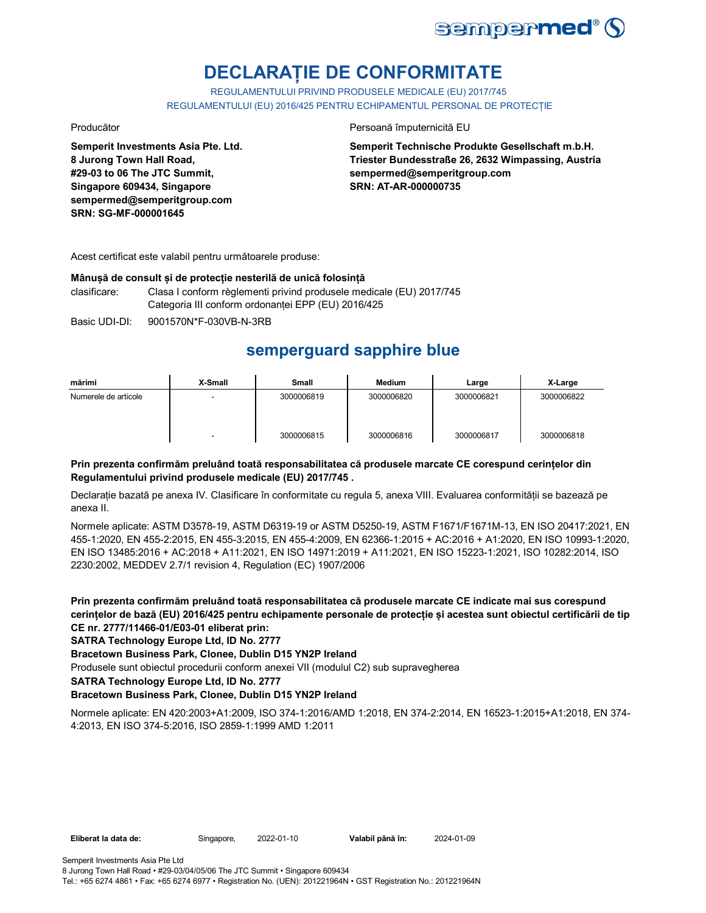

# **DECLARAȚIE DE CONFORMITATE**

REGULAMENTULUI PRIVIND PRODUSELE MEDICALE (EU) 2017/745 REGULAMENTULUI (EU) 2016/425 PENTRU ECHIPAMENTUL PERSONAL DE PROTECȚIE

**Semperit Investments Asia Pte. Ltd. 8 Jurong Town Hall Road, #29-03 to 06 The JTC Summit, Singapore 609434, Singapore sempermed@semperitgroup.com SRN: SG-MF-000001645**

Producător **Producător** Persoană împuternicită EU

**Semperit Technische Produkte Gesellschaft m.b.H. Triester Bundesstraße 26, 2632 Wimpassing, Austria sempermed@semperitgroup.com SRN: AT-AR-000000735**

Acest certificat este valabil pentru următoarele produse:

#### **Mânușă de consult și de protecție nesterilă de unică folosință**

clasificare: Clasa I conform règlementi privind produsele medicale (EU) 2017/745 Categoria III conform ordonanței EPP (EU) 2016/425

Basic UDI-DI: 9001570N\*F-030VB-N-3RB

## **semperguard sapphire blue**

| mărimi               | X-Small | <b>Small</b> | Medium     | Large      | X-Large    |
|----------------------|---------|--------------|------------|------------|------------|
| Numerele de articole |         | 3000006819   | 3000006820 | 3000006821 | 3000006822 |
|                      | ٠       | 3000006815   | 3000006816 | 3000006817 | 3000006818 |

### **Prin prezenta confirmăm preluând toată responsabilitatea că produsele marcate CE corespund cerințelor din Regulamentului privind produsele medicale (EU) 2017/745 .**

Declarație bazată pe anexa IV. Clasificare în conformitate cu regula 5, anexa VIII. Evaluarea conformității se bazează pe anexa II.

Normele aplicate: ASTM D3578-19, ASTM D6319-19 or ASTM D5250-19, ASTM F1671/F1671M-13, EN ISO 20417:2021, EN 455-1:2020, EN 455-2:2015, EN 455-3:2015, EN 455-4:2009, EN 62366-1:2015 + AC:2016 + A1:2020, EN ISO 10993-1:2020, EN ISO 13485:2016 + AC:2018 + A11:2021, EN ISO 14971:2019 + A11:2021, EN ISO 15223-1:2021, ISO 10282:2014, ISO 2230:2002, MEDDEV 2.7/1 revision 4, Regulation (EC) 1907/2006

**Prin prezenta confirmăm preluând toată responsabilitatea că produsele marcate CE indicate mai sus corespund cerințelor de bază (EU) 2016/425 pentru echipamente personale de protecție și acestea sunt obiectul certificării de tip CE nr. 2777/11466-01/E03-01 eliberat prin:**

**SATRA Technology Europe Ltd, ID No. 2777**

**Bracetown Business Park, Clonee, Dublin D15 YN2P Ireland**

Produsele sunt obiectul procedurii conform anexei VII (modulul C2) sub supravegherea

**SATRA Technology Europe Ltd, ID No. 2777**

### **Bracetown Business Park, Clonee, Dublin D15 YN2P Ireland**

Normele aplicate: EN 420:2003+A1:2009, ISO 374-1:2016/AMD 1:2018, EN 374-2:2014, EN 16523-1:2015+A1:2018, EN 374- 4:2013, EN ISO 374-5:2016, ISO 2859-1:1999 AMD 1:2011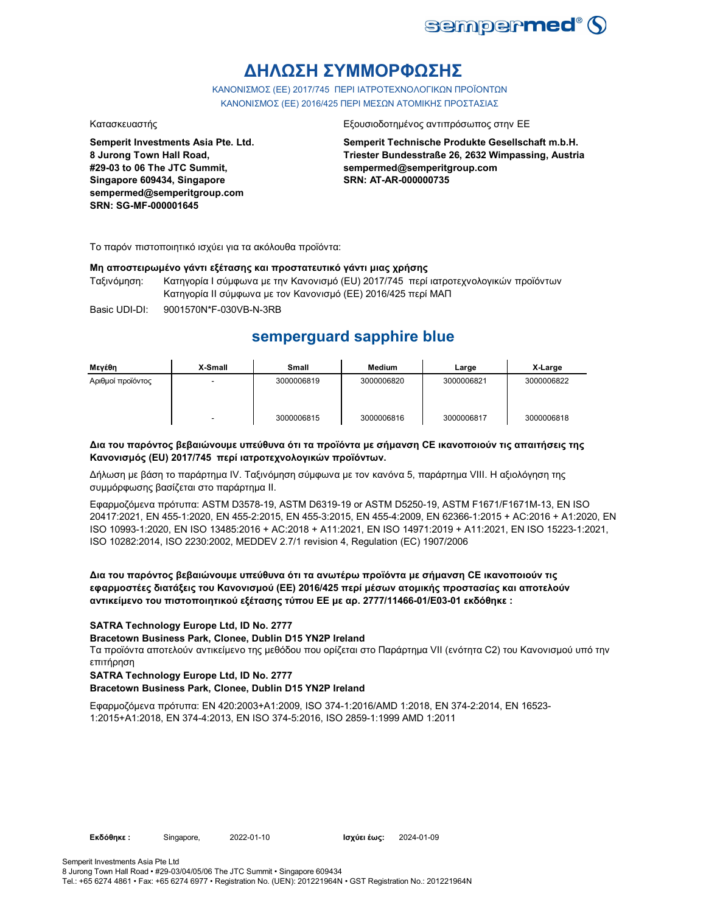

# **ΔΗΛΩΣΗ ΣΥΜΜΟΡΦΩΣΗΣ**

ΚΑΝΟΝΙΣΜΟΣ (EE) 2017/745 ΠΕΡΙ ΙΑΤΡΟΤΕΧΝΟΛΟΓΙΚΩΝ ΠΡΟΪΟΝΤΩΝ ΚΑΝΟΝΙΣΜΟΣ (ΕΕ) 2016/425 ΠΕΡΙ ΜΕΣΩΝ ΑΤΟΜΙΚΗΣ ΠΡΟΣΤΑΣΙΑΣ

**Semperit Investments Asia Pte. Ltd. 8 Jurong Town Hall Road, #29-03 to 06 The JTC Summit, Singapore 609434, Singapore sempermed@semperitgroup.com SRN: SG-MF-000001645**

#### Κατασκευαστής Εξουσιοδοτημένος αντιπρόσωπος στην ΕΕ

**Semperit Technische Produkte Gesellschaft m.b.H. Triester Bundesstraße 26, 2632 Wimpassing, Austria sempermed@semperitgroup.com SRN: AT-AR-000000735**

Το παρόν πιστοποιητικό ισχύει για τα ακόλουθα προϊόντα:

#### **Μη αποστειρωμένο γάντι εξέτασης και προστατευτικό γάντι μιας χρήσης**

Ταξινόμηση: Κατηγορία I σύμφωνα με την Κανονισμό (EU) 2017/745 περί ιατροτεχνολογικών προϊόντων Κατηγορία II σύμφωνα με τον Κανονισμό (ΕΕ) 2016/425 περί ΜΑΠ

Basic UDI-DI: 9001570N\*F-030VB-N-3RB

## **semperguard sapphire blue**

| Μενέθη            | X-Small                  | Small      | Medium     | Large      | X-Large    |
|-------------------|--------------------------|------------|------------|------------|------------|
| Αριθμοί προϊόντος | $\overline{\phantom{0}}$ | 3000006819 | 3000006820 | 3000006821 | 3000006822 |
|                   |                          | 3000006815 | 3000006816 | 3000006817 | 3000006818 |

#### **Δια του παρόντος βεβαιώνουμε υπεύθυνα ότι τα προϊόντα με σήμανση CE ικανοποιούν τις απαιτήσεις της Κανονισμός (EU) 2017/745 περί ιατροτεχνολογικών προϊόντων.**

Δήλωση με βάση το παράρτημα IV. Ταξινόμηση σύμφωνα με τον κανόνα 5, παράρτημα VIII. Η αξιολόγηση της συμμόρφωσης βασίζεται στο παράρτημα II.

Εφαρμοζόμενα πρότυπα: ASTM D3578-19, ASTM D6319-19 or ASTM D5250-19, ASTM F1671/F1671M-13, EN ISO 20417:2021, EN 455-1:2020, EN 455-2:2015, EN 455-3:2015, EN 455-4:2009, EN 62366-1:2015 + AC:2016 + A1:2020, EN ISO 10993-1:2020, EN ISO 13485:2016 + AC:2018 + A11:2021, EN ISO 14971:2019 + A11:2021, EN ISO 15223-1:2021, ISO 10282:2014, ISO 2230:2002, MEDDEV 2.7/1 revision 4, Regulation (EC) 1907/2006

#### **Δια του παρόντος βεβαιώνουμε υπεύθυνα ότι τα ανωτέρω προϊόντα με σήμανση CE ικανοποιούν τις εφαρμοστέες διατάξεις του Κανονισμού (ΕΕ) 2016/425 περί μέσων ατομικής προστασίας και αποτελούν αντικείμενο του πιστοποιητικού εξέτασης τύπου ΕΕ με αρ. 2777/11466-01/E03-01 εκδόθηκε :**

#### **SATRA Technology Europe Ltd, ID No. 2777**

**Bracetown Business Park, Clonee, Dublin D15 YN2P Ireland**

Τα προϊόντα αποτελούν αντικείμενο της μεθόδου που ορίζεται στο Παράρτημα VII (ενότητα C2) του Κανονισμού υπό την επιτήρηση

#### **SATRA Technology Europe Ltd, ID No. 2777**

### **Bracetown Business Park, Clonee, Dublin D15 YN2P Ireland**

Εφαρμοζόμενα πρότυπα: EN 420:2003+A1:2009, ISO 374-1:2016/AMD 1:2018, EN 374-2:2014, EN 16523- 1:2015+A1:2018, EN 374-4:2013, EN ISO 374-5:2016, ISO 2859-1:1999 AMD 1:2011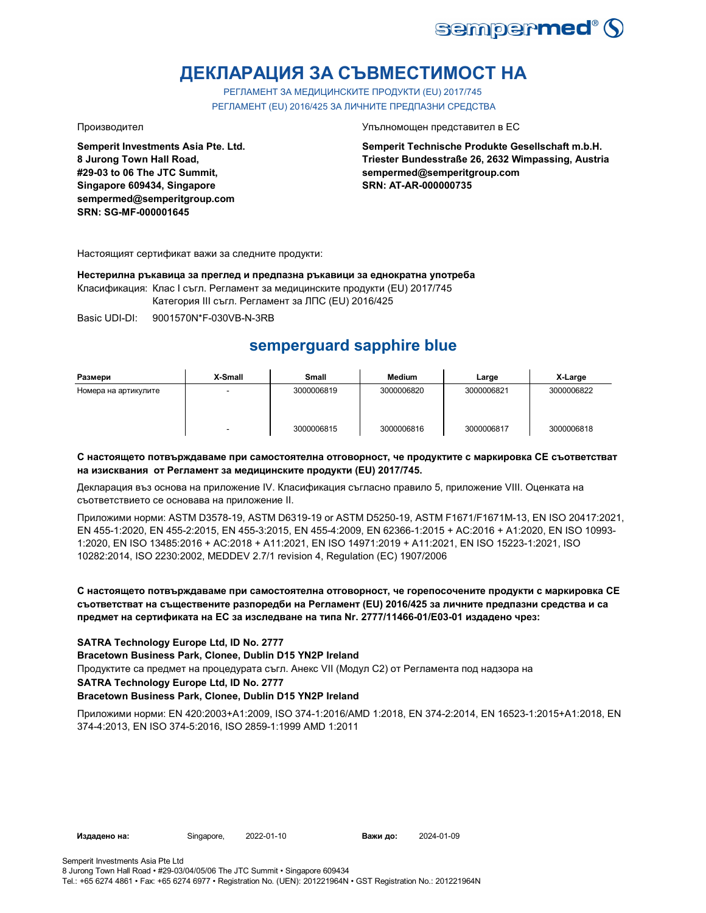

# **ДЕКЛАРАЦИЯ ЗА СЪВМЕСТИМОСТ НА**

РЕГЛАМЕНТ ЗА МЕДИЦИНСКИТЕ ПРОДУКТИ (EU) 2017/745 РЕГЛАМЕНТ (EU) 2016/425 ЗА ЛИЧНИТЕ ПРЕДПАЗНИ СРЕДСТВА

**Semperit Investments Asia Pte. Ltd. 8 Jurong Town Hall Road, #29-03 to 06 The JTC Summit, Singapore 609434, Singapore sempermed@semperitgroup.com SRN: SG-MF-000001645**

Производител Упълномощен представител в ЕС

**Semperit Technische Produkte Gesellschaft m.b.H. Triester Bundesstraße 26, 2632 Wimpassing, Austria sempermed@semperitgroup.com SRN: AT-AR-000000735**

Настоящият сертификат важи за следните продукти:

**Нестерилна ръкавица за преглед и предпазна ръкавици за еднократна употреба**

Класификация: Клас I съгл. Регламент за медицинските продукти (EU) 2017/745

Категория III съгл. Регламент за ЛПС (EU) 2016/425

Basic UDI-DI: 9001570N\*F-030VB-N-3RB

# **semperguard sapphire blue**

| Размери              | X-Small | <b>Small</b> | <b>Medium</b> | Large      | X-Large    |
|----------------------|---------|--------------|---------------|------------|------------|
| Номера на артикулите |         | 3000006819   | 3000006820    | 3000006821 | 3000006822 |
|                      | -       | 3000006815   | 3000006816    | 3000006817 | 3000006818 |

#### **С настоящето потвърждаваме при самостоятелна отговорност, че продуктите с маркировка СЕ съответстват на изисквания от Регламент за медицинските продукти (EU) 2017/745.**

Декларация въз основа на приложение IV. Класификация съгласно правило 5, приложение VIII. Оценката на съответствието се основава на приложение II.

Приложими норми: ASTM D3578-19, ASTM D6319-19 or ASTM D5250-19, ASTM F1671/F1671M-13, EN ISO 20417:2021, EN 455-1:2020, EN 455-2:2015, EN 455-3:2015, EN 455-4:2009, EN 62366-1:2015 + AC:2016 + A1:2020, EN ISO 10993- 1:2020, EN ISO 13485:2016 + AC:2018 + A11:2021, EN ISO 14971:2019 + A11:2021, EN ISO 15223-1:2021, ISO 10282:2014, ISO 2230:2002, MEDDEV 2.7/1 revision 4, Regulation (EC) 1907/2006

### **С настоящето потвърждаваме при самостоятелна отговорност, че горепосочените продукти с маркировка СЕ съответстват на съществените разпоредби на Регламент (EU) 2016/425 за личните предпазни средства и са предмет на сертификата на ЕС за изследване на типа Nr. 2777/11466-01/E03-01 издадено чрез:**

### **SATRA Technology Europe Ltd, ID No. 2777**

**Bracetown Business Park, Clonee, Dublin D15 YN2P Ireland**

Продуктите са предмет на процедурата съгл. Анекс VII (Модул С2) от Регламента под надзора на

#### **SATRA Technology Europe Ltd, ID No. 2777**

### **Bracetown Business Park, Clonee, Dublin D15 YN2P Ireland**

Приложими норми: EN 420:2003+A1:2009, ISO 374-1:2016/AMD 1:2018, EN 374-2:2014, EN 16523-1:2015+A1:2018, EN 374-4:2013, EN ISO 374-5:2016, ISO 2859-1:1999 AMD 1:2011

**Издадено на:** Singapore, 2022-01-10 **Важи до:** 2024-01-09